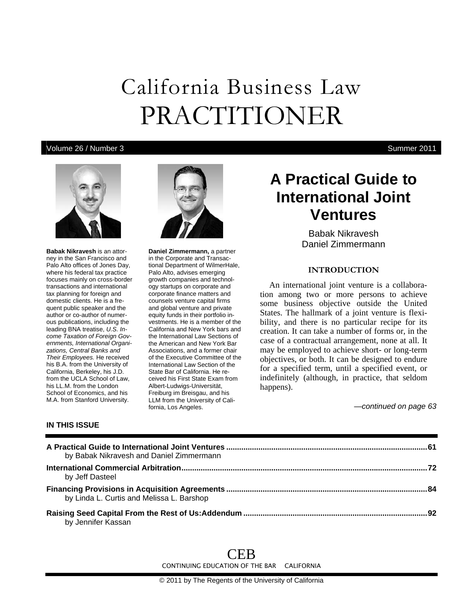# California Business Law PRACTITIONER

## Volume 26 / Number 3 Summer 2011



**Babak Nikravesh** is an attorney in the San Francisco and Palo Alto offices of Jones Day, where his federal tax practice focuses mainly on cross-border transactions and international tax planning for foreign and domestic clients. He is a frequent public speaker and the author or co-author of numerous publications, including the leading BNA treatise, *U.S. Income Taxation of Foreign Governments, International Organizations, Central Banks and Their Employees.* He received his B.A. from the University of California, Berkeley, his J.D. from the UCLA School of Law, his LL.M. from the London School of Economics, and his M.A. from Stanford University.

**IN THIS ISSUE** 



**Daniel Zimmermann,** a partner in the Corporate and Transactional Department of WilmerHale, Palo Alto, advises emerging growth companies and technology startups on corporate and corporate finance matters and counsels venture capital firms and global venture and private equity funds in their portfolio investments. He is a member of the California and New York bars and the International Law Sections of the American and New York Bar Associations, and a former chair of the Executive Committee of the International Law Section of the State Bar of California. He received his First State Exam from Albert-Ludwigs-Universität, Freiburg im Breisgau, and his LLM from the University of California, Los Angeles.

## **A Practical Guide to International Joint Ventures**

Babak Nikravesh Daniel Zimmermann

## **INTRODUCTION**

An international joint venture is a collaboration among two or more persons to achieve some business objective outside the United States. The hallmark of a joint venture is flexibility, and there is no particular recipe for its creation. It can take a number of forms or, in the case of a contractual arrangement, none at all. It may be employed to achieve short- or long-term objectives, or both. It can be designed to endure for a specified term, until a specified event, or indefinitely (although, in practice, that seldom happens).

*—continued on page 63* 

| A Practical Guide to International Joint Ventures ………………………………………………………………………………<br>by Babak Nikravesh and Daniel Zimmermann |  |
|------------------------------------------------------------------------------------------------------------------------------|--|
| by Jeff Dasteel                                                                                                              |  |
| by Linda L. Curtis and Melissa L. Barshop                                                                                    |  |
| by Jennifer Kassan                                                                                                           |  |

CEB CONTINUING EDUCATION OF THE BAR CALIFORNIA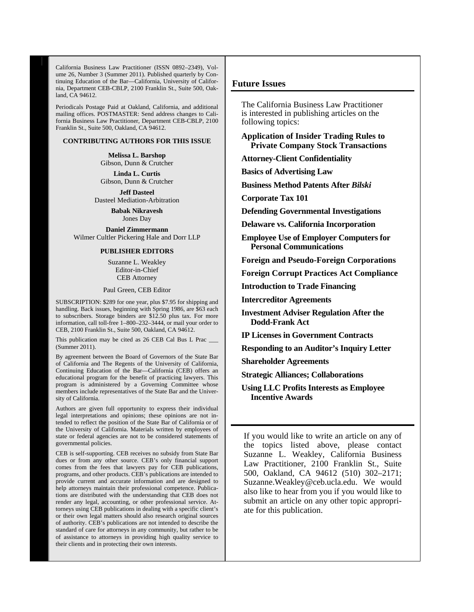California Business Law Practitioner (ISSN 0892–2349), Volume 26, Number 3 (Summer 2011). Published quarterly by Continuing Education of the Bar—California, University of California, Department CEB-CBLP, 2100 Franklin St., Suite 500, Oakland, CA 94612.

Periodicals Postage Paid at Oakland, California, and additional mailing offices. POSTMASTER: Send address changes to California Business Law Practitioner, Department CEB-CBLP, 2100 Franklin St., Suite 500, Oakland, CA 94612.

#### **CONTRIBUTING AUTHORS FOR THIS ISSUE**

**Melissa L. Barshop**  Gibson, Dunn & Crutcher

**Linda L. Curtis**  Gibson, Dunn & Crutcher

**Jeff Dasteel**  Dasteel Mediation-Arbitration

> **Babak Nikravesh**  Jones Day

**Daniel Zimmermann**  Wilmer Cultler Pickering Hale and Dorr LLP

### **PUBLISHER EDITORS**

Suzanne L. Weakley Editor-in-Chief CEB Attorney

Paul Green, CEB Editor

SUBSCRIPTION: \$289 for one year, plus \$7.95 for shipping and handling. Back issues, beginning with Spring 1986, are \$63 each to subscribers. Storage binders are \$12.50 plus tax. For more information, call toll-free 1–800–232–3444, or mail your order to CEB, 2100 Franklin St., Suite 500, Oakland, CA 94612.

This publication may be cited as 26 CEB Cal Bus L Prac \_ (Summer 2011).

By agreement between the Board of Governors of the State Bar of California and The Regents of the University of California, Continuing Education of the Bar—California (CEB) offers an educational program for the benefit of practicing lawyers. This program is administered by a Governing Committee whose members include representatives of the State Bar and the University of California.

Authors are given full opportunity to express their individual legal interpretations and opinions; these opinions are not intended to reflect the position of the State Bar of California or of the University of California. Materials written by employees of state or federal agencies are not to be considered statements of governmental policies.

CEB is self-supporting. CEB receives no subsidy from State Bar dues or from any other source. CEB's only financial support comes from the fees that lawyers pay for CEB publications, programs, and other products. CEB's publications are intended to provide current and accurate information and are designed to help attorneys maintain their professional competence. Publications are distributed with the understanding that CEB does not render any legal, accounting, or other professional service. Attorneys using CEB publications in dealing with a specific client's or their own legal matters should also research original sources of authority. CEB's publications are not intended to describe the standard of care for attorneys in any community, but rather to be of assistance to attorneys in providing high quality service to their clients and in protecting their own interests.

#### **Future Issues**

The California Business Law Practitioner is interested in publishing articles on the following topics:

**Application of Insider Trading Rules to Private Company Stock Transactions** 

**Attorney-Client Confidentiality** 

**Basics of Advertising Law** 

**Business Method Patents After** *Bilski*

**Corporate Tax 101** 

**Defending Governmental Investigations** 

**Delaware vs. California Incorporation** 

**Employee Use of Employer Computers for Personal Communications** 

**Foreign and Pseudo-Foreign Corporations** 

**Foreign Corrupt Practices Act Compliance** 

**Introduction to Trade Financing** 

**Intercreditor Agreements** 

**Investment Adviser Regulation After the Dodd-Frank Act** 

**IP Licenses in Government Contracts** 

**Responding to an Auditor's Inquiry Letter** 

**Shareholder Agreements** 

**Strategic Alliances; Collaborations** 

**Using LLC Profits Interests as Employee Incentive Awards** 

If you would like to write an article on any of the topics listed above, please contact Suzanne L. Weakley, California Business Law Practitioner, 2100 Franklin St., Suite 500, Oakland, CA 94612 (510) 302–2171; Suzanne.Weakley@ceb.ucla.edu. We would also like to hear from you if you would like to submit an article on any other topic appropriate for this publication.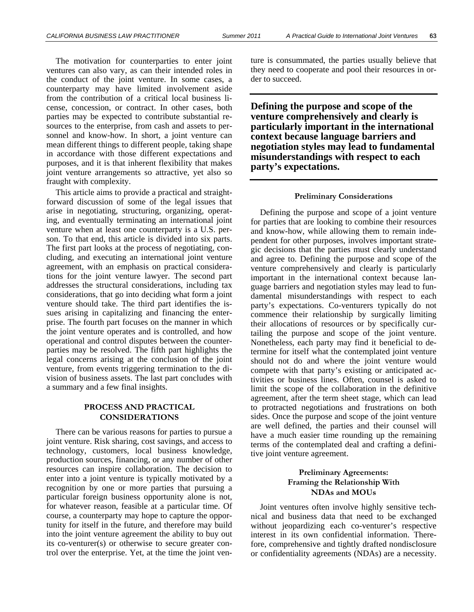The motivation for counterparties to enter joint ventures can also vary, as can their intended roles in the conduct of the joint venture. In some cases, a counterparty may have limited involvement aside from the contribution of a critical local business license, concession, or contract. In other cases, both parties may be expected to contribute substantial resources to the enterprise, from cash and assets to personnel and know-how. In short, a joint venture can mean different things to different people, taking shape in accordance with those different expectations and purposes, and it is that inherent flexibility that makes joint venture arrangements so attractive, yet also so fraught with complexity.

This article aims to provide a practical and straightforward discussion of some of the legal issues that arise in negotiating, structuring, organizing, operating, and eventually terminating an international joint venture when at least one counterparty is a U.S. person. To that end, this article is divided into six parts. The first part looks at the process of negotiating, concluding, and executing an international joint venture agreement, with an emphasis on practical considerations for the joint venture lawyer. The second part addresses the structural considerations, including tax considerations, that go into deciding what form a joint venture should take. The third part identifies the issues arising in capitalizing and financing the enterprise. The fourth part focuses on the manner in which the joint venture operates and is controlled, and how operational and control disputes between the counterparties may be resolved. The fifth part highlights the legal concerns arising at the conclusion of the joint venture, from events triggering termination to the division of business assets. The last part concludes with a summary and a few final insights.

## **PROCESS AND PRACTICAL CONSIDERATIONS**

There can be various reasons for parties to pursue a joint venture. Risk sharing, cost savings, and access to technology, customers, local business knowledge, production sources, financing, or any number of other resources can inspire collaboration. The decision to enter into a joint venture is typically motivated by a recognition by one or more parties that pursuing a particular foreign business opportunity alone is not, for whatever reason, feasible at a particular time. Of course, a counterparty may hope to capture the opportunity for itself in the future, and therefore may build into the joint venture agreement the ability to buy out its co-venturer(s) or otherwise to secure greater control over the enterprise. Yet, at the time the joint venture is consummated, the parties usually believe that they need to cooperate and pool their resources in order to succeed.

**Defining the purpose and scope of the venture comprehensively and clearly is particularly important in the international context because language barriers and negotiation styles may lead to fundamental misunderstandings with respect to each party's expectations.** 

#### **Preliminary Considerations**

Defining the purpose and scope of a joint venture for parties that are looking to combine their resources and know-how, while allowing them to remain independent for other purposes, involves important strategic decisions that the parties must clearly understand and agree to. Defining the purpose and scope of the venture comprehensively and clearly is particularly important in the international context because language barriers and negotiation styles may lead to fundamental misunderstandings with respect to each party's expectations. Co-venturers typically do not commence their relationship by surgically limiting their allocations of resources or by specifically curtailing the purpose and scope of the joint venture. Nonetheless, each party may find it beneficial to determine for itself what the contemplated joint venture should not do and where the joint venture would compete with that party's existing or anticipated activities or business lines. Often, counsel is asked to limit the scope of the collaboration in the definitive agreement, after the term sheet stage, which can lead to protracted negotiations and frustrations on both sides. Once the purpose and scope of the joint venture are well defined, the parties and their counsel will have a much easier time rounding up the remaining terms of the contemplated deal and crafting a definitive joint venture agreement.

## **Preliminary Agreements: Framing the Relationship With NDAs and MOUs**

Joint ventures often involve highly sensitive technical and business data that need to be exchanged without jeopardizing each co-venturer's respective interest in its own confidential information. Therefore, comprehensive and tightly drafted nondisclosure or confidentiality agreements (NDAs) are a necessity.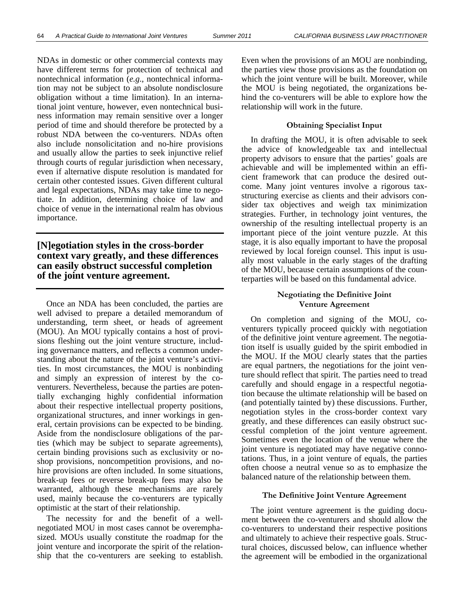NDAs in domestic or other commercial contexts may have different terms for protection of technical and nontechnical information (*e.g*., nontechnical information may not be subject to an absolute nondisclosure obligation without a time limitation). In an international joint venture, however, even nontechnical business information may remain sensitive over a longer period of time and should therefore be protected by a robust NDA between the co-venturers. NDAs often also include nonsolicitation and no-hire provisions and usually allow the parties to seek injunctive relief through courts of regular jurisdiction when necessary, even if alternative dispute resolution is mandated for certain other contested issues. Given different cultural and legal expectations, NDAs may take time to negotiate. In addition, determining choice of law and choice of venue in the international realm has obvious importance.

## **[N]egotiation styles in the cross-border context vary greatly, and these differences can easily obstruct successful completion of the joint venture agreement.**

Once an NDA has been concluded, the parties are well advised to prepare a detailed memorandum of understanding, term sheet, or heads of agreement (MOU). An MOU typically contains a host of provisions fleshing out the joint venture structure, including governance matters, and reflects a common understanding about the nature of the joint venture's activities. In most circumstances, the MOU is nonbinding and simply an expression of interest by the coventurers. Nevertheless, because the parties are potentially exchanging highly confidential information about their respective intellectual property positions, organizational structures, and inner workings in general, certain provisions can be expected to be binding. Aside from the nondisclosure obligations of the parties (which may be subject to separate agreements), certain binding provisions such as exclusivity or noshop provisions, noncompetition provisions, and nohire provisions are often included. In some situations, break-up fees or reverse break-up fees may also be warranted, although these mechanisms are rarely used, mainly because the co-venturers are typically optimistic at the start of their relationship.

The necessity for and the benefit of a wellnegotiated MOU in most cases cannot be overemphasized. MOUs usually constitute the roadmap for the joint venture and incorporate the spirit of the relationship that the co-venturers are seeking to establish.

Even when the provisions of an MOU are nonbinding, the parties view those provisions as the foundation on which the joint venture will be built. Moreover, while the MOU is being negotiated, the organizations behind the co-venturers will be able to explore how the relationship will work in the future.

#### **Obtaining Specialist Input**

In drafting the MOU, it is often advisable to seek the advice of knowledgeable tax and intellectual property advisors to ensure that the parties' goals are achievable and will be implemented within an efficient framework that can produce the desired outcome. Many joint ventures involve a rigorous taxstructuring exercise as clients and their advisors consider tax objectives and weigh tax minimization strategies. Further, in technology joint ventures, the ownership of the resulting intellectual property is an important piece of the joint venture puzzle. At this stage, it is also equally important to have the proposal reviewed by local foreign counsel. This input is usually most valuable in the early stages of the drafting of the MOU, because certain assumptions of the counterparties will be based on this fundamental advice.

### **Negotiating the Definitive Joint Venture Agreement**

On completion and signing of the MOU, coventurers typically proceed quickly with negotiation of the definitive joint venture agreement. The negotiation itself is usually guided by the spirit embodied in the MOU. If the MOU clearly states that the parties are equal partners, the negotiations for the joint venture should reflect that spirit. The parties need to tread carefully and should engage in a respectful negotiation because the ultimate relationship will be based on (and potentially tainted by) these discussions. Further, negotiation styles in the cross-border context vary greatly, and these differences can easily obstruct successful completion of the joint venture agreement. Sometimes even the location of the venue where the joint venture is negotiated may have negative connotations. Thus, in a joint venture of equals, the parties often choose a neutral venue so as to emphasize the balanced nature of the relationship between them.

#### **The Definitive Joint Venture Agreement**

The joint venture agreement is the guiding document between the co-venturers and should allow the co-venturers to understand their respective positions and ultimately to achieve their respective goals. Structural choices, discussed below, can influence whether the agreement will be embodied in the organizational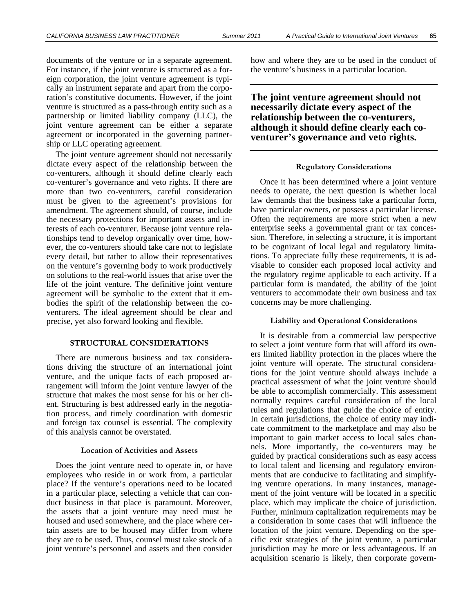documents of the venture or in a separate agreement. For instance, if the joint venture is structured as a foreign corporation, the joint venture agreement is typically an instrument separate and apart from the corporation's constitutive documents. However, if the joint venture is structured as a pass-through entity such as a partnership or limited liability company (LLC), the joint venture agreement can be either a separate agreement or incorporated in the governing partnership or LLC operating agreement.

The joint venture agreement should not necessarily dictate every aspect of the relationship between the co-venturers, although it should define clearly each co-venturer's governance and veto rights. If there are more than two co-venturers, careful consideration must be given to the agreement's provisions for amendment. The agreement should, of course, include the necessary protections for important assets and interests of each co-venturer. Because joint venture relationships tend to develop organically over time, however, the co-venturers should take care not to legislate every detail, but rather to allow their representatives on the venture's governing body to work productively on solutions to the real-world issues that arise over the life of the joint venture. The definitive joint venture agreement will be symbolic to the extent that it embodies the spirit of the relationship between the coventurers. The ideal agreement should be clear and precise, yet also forward looking and flexible.

#### **STRUCTURAL CONSIDERATIONS**

There are numerous business and tax considerations driving the structure of an international joint venture, and the unique facts of each proposed arrangement will inform the joint venture lawyer of the structure that makes the most sense for his or her client. Structuring is best addressed early in the negotiation process, and timely coordination with domestic and foreign tax counsel is essential. The complexity of this analysis cannot be overstated.

#### **Location of Activities and Assets**

Does the joint venture need to operate in, or have employees who reside in or work from, a particular place? If the venture's operations need to be located in a particular place, selecting a vehicle that can conduct business in that place is paramount. Moreover, the assets that a joint venture may need must be housed and used somewhere, and the place where certain assets are to be housed may differ from where they are to be used. Thus, counsel must take stock of a joint venture's personnel and assets and then consider

how and where they are to be used in the conduct of the venture's business in a particular location.

**The joint venture agreement should not necessarily dictate every aspect of the relationship between the co-venturers, although it should define clearly each coventurer's governance and veto rights.** 

#### **Regulatory Considerations**

Once it has been determined where a joint venture needs to operate, the next question is whether local law demands that the business take a particular form, have particular owners, or possess a particular license. Often the requirements are more strict when a new enterprise seeks a governmental grant or tax concession. Therefore, in selecting a structure, it is important to be cognizant of local legal and regulatory limitations. To appreciate fully these requirements, it is advisable to consider each proposed local activity and the regulatory regime applicable to each activity. If a particular form is mandated, the ability of the joint venturers to accommodate their own business and tax concerns may be more challenging.

#### **Liability and Operational Considerations**

It is desirable from a commercial law perspective to select a joint venture form that will afford its owners limited liability protection in the places where the joint venture will operate. The structural considerations for the joint venture should always include a practical assessment of what the joint venture should be able to accomplish commercially. This assessment normally requires careful consideration of the local rules and regulations that guide the choice of entity. In certain jurisdictions, the choice of entity may indicate commitment to the marketplace and may also be important to gain market access to local sales channels. More importantly, the co-venturers may be guided by practical considerations such as easy access to local talent and licensing and regulatory environments that are conducive to facilitating and simplifying venture operations. In many instances, management of the joint venture will be located in a specific place, which may implicate the choice of jurisdiction. Further, minimum capitalization requirements may be a consideration in some cases that will influence the location of the joint venture. Depending on the specific exit strategies of the joint venture, a particular jurisdiction may be more or less advantageous. If an acquisition scenario is likely, then corporate govern-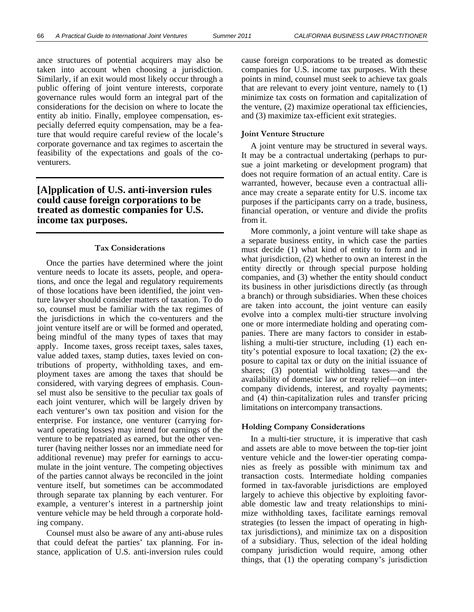ance structures of potential acquirers may also be taken into account when choosing a jurisdiction. Similarly, if an exit would most likely occur through a public offering of joint venture interests, corporate governance rules would form an integral part of the considerations for the decision on where to locate the entity ab initio. Finally, employee compensation, especially deferred equity compensation, may be a feature that would require careful review of the locale's corporate governance and tax regimes to ascertain the feasibility of the expectations and goals of the coventurers.

## **[A]pplication of U.S. anti-inversion rules could cause foreign corporations to be treated as domestic companies for U.S. income tax purposes.**

#### **Tax Considerations**

Once the parties have determined where the joint venture needs to locate its assets, people, and operations, and once the legal and regulatory requirements of those locations have been identified, the joint venture lawyer should consider matters of taxation. To do so, counsel must be familiar with the tax regimes of the jurisdictions in which the co-venturers and the joint venture itself are or will be formed and operated, being mindful of the many types of taxes that may apply. Income taxes, gross receipt taxes, sales taxes, value added taxes, stamp duties, taxes levied on contributions of property, withholding taxes, and employment taxes are among the taxes that should be considered, with varying degrees of emphasis. Counsel must also be sensitive to the peculiar tax goals of each joint venturer, which will be largely driven by each venturer's own tax position and vision for the enterprise. For instance, one venturer (carrying forward operating losses) may intend for earnings of the venture to be repatriated as earned, but the other venturer (having neither losses nor an immediate need for additional revenue) may prefer for earnings to accumulate in the joint venture. The competing objectives of the parties cannot always be reconciled in the joint venture itself, but sometimes can be accommodated through separate tax planning by each venturer. For example, a venturer's interest in a partnership joint venture vehicle may be held through a corporate holding company.

Counsel must also be aware of any anti-abuse rules that could defeat the parties' tax planning. For instance, application of U.S. anti-inversion rules could cause foreign corporations to be treated as domestic companies for U.S. income tax purposes. With these points in mind, counsel must seek to achieve tax goals that are relevant to every joint venture, namely to (1) minimize tax costs on formation and capitalization of the venture, (2) maximize operational tax efficiencies, and (3) maximize tax-efficient exit strategies.

#### **Joint Venture Structure**

A joint venture may be structured in several ways. It may be a contractual undertaking (perhaps to pursue a joint marketing or development program) that does not require formation of an actual entity. Care is warranted, however, because even a contractual alliance may create a separate entity for U.S. income tax purposes if the participants carry on a trade, business, financial operation, or venture and divide the profits from it.

More commonly, a joint venture will take shape as a separate business entity, in which case the parties must decide (1) what kind of entity to form and in what jurisdiction, (2) whether to own an interest in the entity directly or through special purpose holding companies, and (3) whether the entity should conduct its business in other jurisdictions directly (as through a branch) or through subsidiaries. When these choices are taken into account, the joint venture can easily evolve into a complex multi-tier structure involving one or more intermediate holding and operating companies. There are many factors to consider in establishing a multi-tier structure, including (1) each entity's potential exposure to local taxation; (2) the exposure to capital tax or duty on the initial issuance of shares; (3) potential withholding taxes—and the availability of domestic law or treaty relief—on intercompany dividends, interest, and royalty payments; and (4) thin-capitalization rules and transfer pricing limitations on intercompany transactions.

#### **Holding Company Considerations**

In a multi-tier structure, it is imperative that cash and assets are able to move between the top-tier joint venture vehicle and the lower-tier operating companies as freely as possible with minimum tax and transaction costs. Intermediate holding companies formed in tax-favorable jurisdictions are employed largely to achieve this objective by exploiting favorable domestic law and treaty relationships to minimize withholding taxes, facilitate earnings removal strategies (to lessen the impact of operating in hightax jurisdictions), and minimize tax on a disposition of a subsidiary. Thus, selection of the ideal holding company jurisdiction would require, among other things, that (1) the operating company's jurisdiction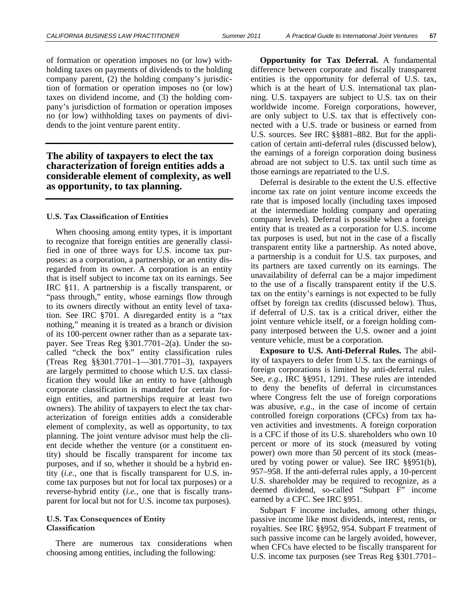of formation or operation imposes no (or low) withholding taxes on payments of dividends to the holding company parent, (2) the holding company's jurisdiction of formation or operation imposes no (or low) taxes on dividend income, and (3) the holding company's jurisdiction of formation or operation imposes no (or low) withholding taxes on payments of dividends to the joint venture parent entity.

## **The ability of taxpayers to elect the tax characterization of foreign entities adds a considerable element of complexity, as well as opportunity, to tax planning.**

#### **U.S. Tax Classification of Entities**

When choosing among entity types, it is important to recognize that foreign entities are generally classified in one of three ways for U.S. income tax purposes: as a corporation, a partnership, or an entity disregarded from its owner. A corporation is an entity that is itself subject to income tax on its earnings. See IRC §11. A partnership is a fiscally transparent, or "pass through," entity, whose earnings flow through to its owners directly without an entity level of taxation. See IRC §701. A disregarded entity is a "tax nothing," meaning it is treated as a branch or division of its 100-percent owner rather than as a separate taxpayer. See Treas Reg §301.7701–2(a). Under the socalled "check the box" entity classification rules (Treas Reg §§301.7701–1—301.7701–3), taxpayers are largely permitted to choose which U.S. tax classification they would like an entity to have (although corporate classification is mandated for certain foreign entities, and partnerships require at least two owners). The ability of taxpayers to elect the tax characterization of foreign entities adds a considerable element of complexity, as well as opportunity, to tax planning. The joint venture advisor must help the client decide whether the venture (or a constituent entity) should be fiscally transparent for income tax purposes, and if so, whether it should be a hybrid entity (*i.e.,* one that is fiscally transparent for U.S. income tax purposes but not for local tax purposes) or a reverse-hybrid entity (*i.e.,* one that is fiscally transparent for local but not for U.S. income tax purposes).

### **U.S. Tax Consequences of Entity Classification**

There are numerous tax considerations when choosing among entities, including the following:

**Opportunity for Tax Deferral.** A fundamental difference between corporate and fiscally transparent entities is the opportunity for deferral of U.S. tax, which is at the heart of U.S. international tax planning. U.S. taxpayers are subject to U.S. tax on their worldwide income. Foreign corporations, however, are only subject to U.S. tax that is effectively connected with a U.S. trade or business or earned from U.S. sources. See IRC §§881–882. But for the application of certain anti-deferral rules (discussed below), the earnings of a foreign corporation doing business abroad are not subject to U.S. tax until such time as those earnings are repatriated to the U.S.

Deferral is desirable to the extent the U.S. effective income tax rate on joint venture income exceeds the rate that is imposed locally (including taxes imposed at the intermediate holding company and operating company levels). Deferral is possible when a foreign entity that is treated as a corporation for U.S. income tax purposes is used, but not in the case of a fiscally transparent entity like a partnership. As noted above, a partnership is a conduit for U.S. tax purposes, and its partners are taxed currently on its earnings. The unavailability of deferral can be a major impediment to the use of a fiscally transparent entity if the U.S. tax on the entity's earnings is not expected to be fully offset by foreign tax credits (discussed below). Thus, if deferral of U.S. tax is a critical driver, either the joint venture vehicle itself, or a foreign holding company interposed between the U.S. owner and a joint venture vehicle, must be a corporation.

**Exposure to U.S. Anti-Deferral Rules.** The ability of taxpayers to defer from U.S. tax the earnings of foreign corporations is limited by anti-deferral rules. See, *e.g.,* IRC §§951, 1291. These rules are intended to deny the benefits of deferral in circumstances where Congress felt the use of foreign corporations was abusive, *e.g*., in the case of income of certain controlled foreign corporations (CFCs) from tax haven activities and investments. A foreign corporation is a CFC if those of its U.S. shareholders who own 10 percent or more of its stock (measured by voting power) own more than 50 percent of its stock (measured by voting power or value). See IRC §§951(b), 957–958. If the anti-deferral rules apply, a 10-percent U.S. shareholder may be required to recognize, as a deemed dividend, so-called "Subpart F" income earned by a CFC. See IRC §951.

Subpart F income includes, among other things, passive income like most dividends, interest, rents, or royalties. See IRC §§952, 954. Subpart F treatment of such passive income can be largely avoided, however, when CFCs have elected to be fiscally transparent for U.S. income tax purposes (see Treas Reg §301.7701–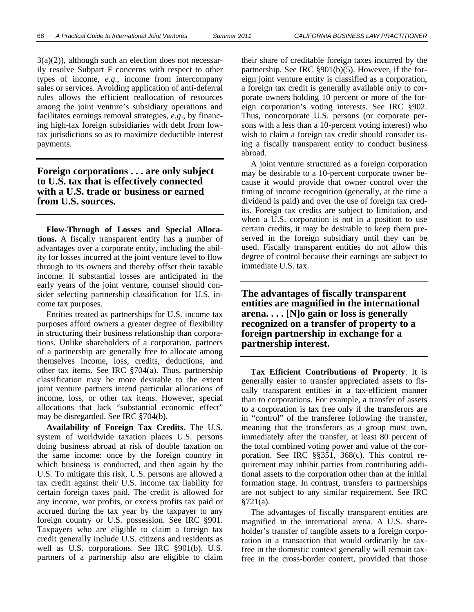$3(a)(2)$ ), although such an election does not necessarily resolve Subpart F concerns with respect to other types of income, *e.g*., income from intercompany sales or services. Avoiding application of anti-deferral rules allows the efficient reallocation of resources among the joint venture's subsidiary operations and facilitates earnings removal strategies, *e.g*., by financing high-tax foreign subsidiaries with debt from lowtax jurisdictions so as to maximize deductible interest payments.

## **Foreign corporations . . . are only subject to U.S. tax that is effectively connected with a U.S. trade or business or earned from U.S. sources.**

**Flow-Through of Losses and Special Allocations.** A fiscally transparent entity has a number of advantages over a corporate entity, including the ability for losses incurred at the joint venture level to flow through to its owners and thereby offset their taxable income. If substantial losses are anticipated in the early years of the joint venture, counsel should consider selecting partnership classification for U.S. income tax purposes.

Entities treated as partnerships for U.S. income tax purposes afford owners a greater degree of flexibility in structuring their business relationship than corporations. Unlike shareholders of a corporation, partners of a partnership are generally free to allocate among themselves income, loss, credits, deductions, and other tax items. See IRC §704(a). Thus, partnership classification may be more desirable to the extent joint venture partners intend particular allocations of income, loss, or other tax items. However, special allocations that lack "substantial economic effect" may be disregarded. See IRC §704(b).

**Availability of Foreign Tax Credits.** The U.S. system of worldwide taxation places U.S. persons doing business abroad at risk of double taxation on the same income: once by the foreign country in which business is conducted, and then again by the U.S. To mitigate this risk, U.S. persons are allowed a tax credit against their U.S. income tax liability for certain foreign taxes paid. The credit is allowed for any income, war profits, or excess profits tax paid or accrued during the tax year by the taxpayer to any foreign country or U.S. possession. See IRC §901. Taxpayers who are eligible to claim a foreign tax credit generally include U.S. citizens and residents as well as U.S. corporations. See IRC §901(b). U.S. partners of a partnership also are eligible to claim their share of creditable foreign taxes incurred by the partnership. See IRC §901(b)(5). However, if the foreign joint venture entity is classified as a corporation, a foreign tax credit is generally available only to corporate owners holding 10 percent or more of the foreign corporation's voting interests. See IRC §902. Thus, noncorporate U.S. persons (or corporate persons with a less than a 10-percent voting interest) who wish to claim a foreign tax credit should consider using a fiscally transparent entity to conduct business abroad.

A joint venture structured as a foreign corporation may be desirable to a 10-percent corporate owner because it would provide that owner control over the timing of income recognition (generally, at the time a dividend is paid) and over the use of foreign tax credits. Foreign tax credits are subject to limitation, and when a U.S. corporation is not in a position to use certain credits, it may be desirable to keep them preserved in the foreign subsidiary until they can be used. Fiscally transparent entities do not allow this degree of control because their earnings are subject to immediate U.S. tax.

**The advantages of fiscally transparent entities are magnified in the international arena. . . . [N]o gain or loss is generally recognized on a transfer of property to a foreign partnership in exchange for a partnership interest.** 

**Tax Efficient Contributions of Property**. It is generally easier to transfer appreciated assets to fiscally transparent entities in a tax-efficient manner than to corporations. For example, a transfer of assets to a corporation is tax free only if the transferors are in "control" of the transferee following the transfer, meaning that the transferors as a group must own, immediately after the transfer, at least 80 percent of the total combined voting power and value of the corporation. See IRC §§351, 368(c). This control requirement may inhibit parties from contributing additional assets to the corporation other than at the initial formation stage. In contrast, transfers to partnerships are not subject to any similar requirement. See IRC §721(a).

The advantages of fiscally transparent entities are magnified in the international arena. A U.S. shareholder's transfer of tangible assets to a foreign corporation in a transaction that would ordinarily be taxfree in the domestic context generally will remain taxfree in the cross-border context, provided that those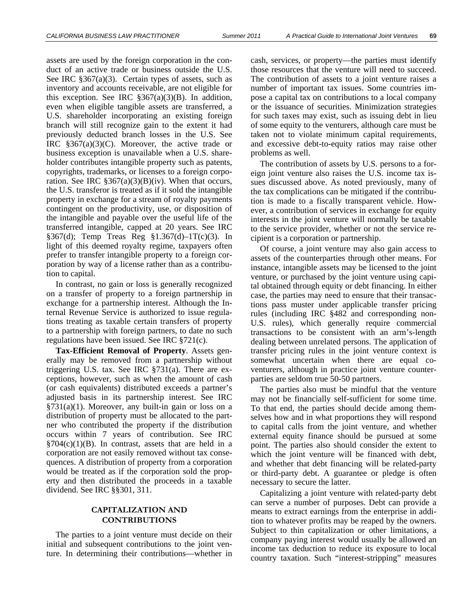assets are used by the foreign corporation in the conduct of an active trade or business outside the U.S. See IRC §367(a)(3). Certain types of assets, such as inventory and accounts receivable, are not eligible for this exception. See IRC  $$367(a)(3)(B)$ . In addition, even when eligible tangible assets are transferred, a U.S. shareholder incorporating an existing foreign branch will still recognize gain to the extent it had previously deducted branch losses in the U.S. See IRC  $\S 367(a)(3)(C)$ . Moreover, the active trade or business exception is unavailable when a U.S. shareholder contributes intangible property such as patents, copyrights, trademarks, or licenses to a foreign corporation. See IRC  $\S 367(a)(3)(B)(iv)$ . When that occurs, the U.S. transferor is treated as if it sold the intangible property in exchange for a stream of royalty payments contingent on the productivity, use, or disposition of the intangible and payable over the useful life of the transferred intangible, capped at 20 years. See IRC §367(d); Temp Treas Reg §1.367(d)–1T(c)(3). In light of this deemed royalty regime, taxpayers often prefer to transfer intangible property to a foreign corporation by way of a license rather than as a contribution to capital.

In contrast, no gain or loss is generally recognized on a transfer of property to a foreign partnership in exchange for a partnership interest. Although the Internal Revenue Service is authorized to issue regulations treating as taxable certain transfers of property to a partnership with foreign partners, to date no such regulations have been issued. See IRC §721(c).

**Tax-Efficient Removal of Property**. Assets generally may be removed from a partnership without triggering U.S. tax. See IRC §731(a). There are exceptions, however, such as when the amount of cash (or cash equivalents) distributed exceeds a partner's adjusted basis in its partnership interest. See IRC  $\S 731(a)(1)$ . Moreover, any built-in gain or loss on a distribution of property must be allocated to the partner who contributed the property if the distribution occurs within 7 years of contribution. See IRC  $\S704(c)(1)(B)$ . In contrast, assets that are held in a corporation are not easily removed without tax consequences. A distribution of property from a corporation would be treated as if the corporation sold the property and then distributed the proceeds in a taxable dividend. See IRC §§301, 311.

## **CAPITALIZATION AND CONTRIBUTIONS**

The parties to a joint venture must decide on their initial and subsequent contributions to the joint venture. In determining their contributions—whether in

cash, services, or property—the parties must identify those resources that the venture will need to succeed. The contribution of assets to a joint venture raises a number of important tax issues. Some countries impose a capital tax on contributions to a local company or the issuance of securities. Minimization strategies for such taxes may exist, such as issuing debt in lieu of some equity to the venturers, although care must be taken not to violate minimum capital requirements, and excessive debt-to-equity ratios may raise other problems as well.

The contribution of assets by U.S. persons to a foreign joint venture also raises the U.S. income tax issues discussed above. As noted previously, many of the tax complications can be mitigated if the contribution is made to a fiscally transparent vehicle. However, a contribution of services in exchange for equity interests in the joint venture will normally be taxable to the service provider, whether or not the service recipient is a corporation or partnership.

Of course, a joint venture may also gain access to assets of the counterparties through other means. For instance, intangible assets may be licensed to the joint venture, or purchased by the joint venture using capital obtained through equity or debt financing. In either case, the parties may need to ensure that their transactions pass muster under applicable transfer pricing rules (including IRC §482 and corresponding non-U.S. rules), which generally require commercial transactions to be consistent with an arm's-length dealing between unrelated persons. The application of transfer pricing rules in the joint venture context is somewhat uncertain when there are equal coventurers, although in practice joint venture counterparties are seldom true 50-50 partners.

The parties also must be mindful that the venture may not be financially self-sufficient for some time. To that end, the parties should decide among themselves how and in what proportions they will respond to capital calls from the joint venture, and whether external equity finance should be pursued at some point. The parties also should consider the extent to which the joint venture will be financed with debt, and whether that debt financing will be related-party or third-party debt. A guarantee or pledge is often necessary to secure the latter.

Capitalizing a joint venture with related-party debt can serve a number of purposes. Debt can provide a means to extract earnings from the enterprise in addition to whatever profits may be reaped by the owners. Subject to thin capitalization or other limitations, a company paying interest would usually be allowed an income tax deduction to reduce its exposure to local country taxation. Such "interest-stripping" measures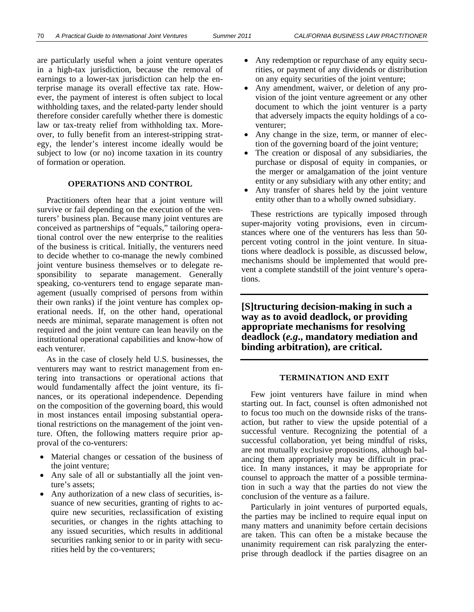are particularly useful when a joint venture operates in a high-tax jurisdiction, because the removal of earnings to a lower-tax jurisdiction can help the enterprise manage its overall effective tax rate. However, the payment of interest is often subject to local withholding taxes, and the related-party lender should therefore consider carefully whether there is domestic law or tax-treaty relief from withholding tax. Moreover, to fully benefit from an interest-stripping strategy, the lender's interest income ideally would be subject to low (or no) income taxation in its country of formation or operation.

#### **OPERATIONS AND CONTROL**

Practitioners often hear that a joint venture will survive or fail depending on the execution of the venturers' business plan. Because many joint ventures are conceived as partnerships of "equals," tailoring operational control over the new enterprise to the realities of the business is critical. Initially, the venturers need to decide whether to co-manage the newly combined joint venture business themselves or to delegate responsibility to separate management. Generally speaking, co-venturers tend to engage separate management (usually comprised of persons from within their own ranks) if the joint venture has complex operational needs. If, on the other hand, operational needs are minimal, separate management is often not required and the joint venture can lean heavily on the institutional operational capabilities and know-how of each venturer.

As in the case of closely held U.S. businesses, the venturers may want to restrict management from entering into transactions or operational actions that would fundamentally affect the joint venture, its finances, or its operational independence. Depending on the composition of the governing board, this would in most instances entail imposing substantial operational restrictions on the management of the joint venture. Often, the following matters require prior approval of the co-venturers:

- Material changes or cessation of the business of the joint venture;
- Any sale of all or substantially all the joint venture's assets;
- Any authorization of a new class of securities, issuance of new securities, granting of rights to acquire new securities, reclassification of existing securities, or changes in the rights attaching to any issued securities, which results in additional securities ranking senior to or in parity with securities held by the co-venturers;
- Any redemption or repurchase of any equity securities, or payment of any dividends or distribution on any equity securities of the joint venture;
- Any amendment, waiver, or deletion of any provision of the joint venture agreement or any other document to which the joint venturer is a party that adversely impacts the equity holdings of a coventurer;
- Any change in the size, term, or manner of election of the governing board of the joint venture;
- The creation or disposal of any subsidiaries, the purchase or disposal of equity in companies, or the merger or amalgamation of the joint venture entity or any subsidiary with any other entity; and
- Any transfer of shares held by the joint venture entity other than to a wholly owned subsidiary.

These restrictions are typically imposed through super-majority voting provisions, even in circumstances where one of the venturers has less than 50 percent voting control in the joint venture. In situations where deadlock is possible, as discussed below, mechanisms should be implemented that would prevent a complete standstill of the joint venture's operations.

**[S]tructuring decision-making in such a way as to avoid deadlock, or providing appropriate mechanisms for resolving deadlock (***e.g***., mandatory mediation and binding arbitration), are critical.** 

#### **TERMINATION AND EXIT**

Few joint venturers have failure in mind when starting out. In fact, counsel is often admonished not to focus too much on the downside risks of the transaction, but rather to view the upside potential of a successful venture. Recognizing the potential of a successful collaboration, yet being mindful of risks, are not mutually exclusive propositions, although balancing them appropriately may be difficult in practice. In many instances, it may be appropriate for counsel to approach the matter of a possible termination in such a way that the parties do not view the conclusion of the venture as a failure.

Particularly in joint ventures of purported equals, the parties may be inclined to require equal input on many matters and unanimity before certain decisions are taken. This can often be a mistake because the unanimity requirement can risk paralyzing the enterprise through deadlock if the parties disagree on an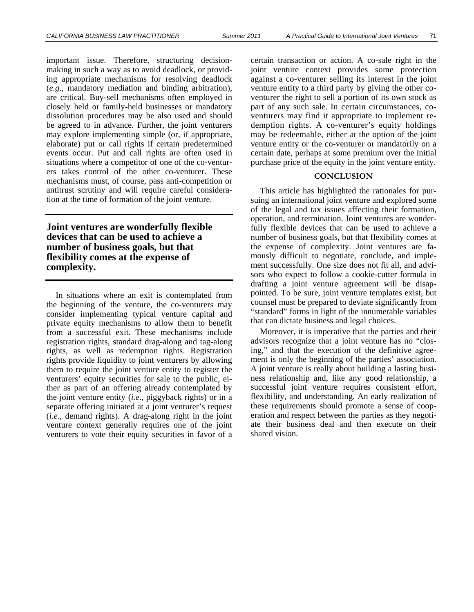important issue. Therefore, structuring decisionmaking in such a way as to avoid deadlock, or providing appropriate mechanisms for resolving deadlock (*e.g*., mandatory mediation and binding arbitration), are critical. Buy-sell mechanisms often employed in closely held or family-held businesses or mandatory dissolution procedures may be also used and should be agreed to in advance. Further, the joint venturers may explore implementing simple (or, if appropriate, elaborate) put or call rights if certain predetermined events occur. Put and call rights are often used in situations where a competitor of one of the co-venturers takes control of the other co-venturer. These mechanisms must, of course, pass anti-competition or antitrust scrutiny and will require careful consideration at the time of formation of the joint venture.

**Joint ventures are wonderfully flexible devices that can be used to achieve a number of business goals, but that flexibility comes at the expense of complexity.** 

In situations where an exit is contemplated from the beginning of the venture, the co-venturers may consider implementing typical venture capital and private equity mechanisms to allow them to benefit from a successful exit. These mechanisms include registration rights, standard drag-along and tag-along rights, as well as redemption rights. Registration rights provide liquidity to joint venturers by allowing them to require the joint venture entity to register the venturers' equity securities for sale to the public, either as part of an offering already contemplated by the joint venture entity (*i.e*., piggyback rights) or in a separate offering initiated at a joint venturer's request (*i.e*., demand rights). A drag-along right in the joint venture context generally requires one of the joint venturers to vote their equity securities in favor of a

certain transaction or action. A co-sale right in the joint venture context provides some protection against a co-venturer selling its interest in the joint venture entity to a third party by giving the other coventurer the right to sell a portion of its own stock as part of any such sale. In certain circumstances, coventurers may find it appropriate to implement redemption rights. A co-venturer's equity holdings may be redeemable, either at the option of the joint venture entity or the co-venturer or mandatorily on a certain date, perhaps at some premium over the initial purchase price of the equity in the joint venture entity.

## **CONCLUSION**

This article has highlighted the rationales for pursuing an international joint venture and explored some of the legal and tax issues affecting their formation, operation, and termination. Joint ventures are wonderfully flexible devices that can be used to achieve a number of business goals, but that flexibility comes at the expense of complexity. Joint ventures are famously difficult to negotiate, conclude, and implement successfully. One size does not fit all, and advisors who expect to follow a cookie-cutter formula in drafting a joint venture agreement will be disappointed. To be sure, joint venture templates exist, but counsel must be prepared to deviate significantly from "standard" forms in light of the innumerable variables that can dictate business and legal choices.

Moreover, it is imperative that the parties and their advisors recognize that a joint venture has no "closing," and that the execution of the definitive agreement is only the beginning of the parties' association. A joint venture is really about building a lasting business relationship and, like any good relationship, a successful joint venture requires consistent effort, flexibility, and understanding. An early realization of these requirements should promote a sense of cooperation and respect between the parties as they negotiate their business deal and then execute on their shared vision.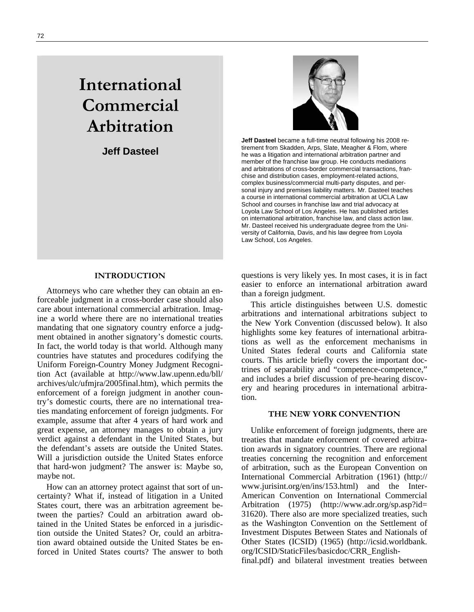## **International Commercial Arbitration**

**Jeff Dasteel** 



**Jeff Dasteel** became a full-time neutral following his 2008 retirement from Skadden, Arps, Slate, Meagher & Flom, where he was a litigation and international arbitration partner and member of the franchise law group. He conducts mediations and arbitrations of cross-border commercial transactions, franchise and distribution cases, employment-related actions, complex business/commercial multi-party disputes, and personal injury and premises liability matters. Mr. Dasteel teaches a course in international commercial arbitration at UCLA Law School and courses in franchise law and trial advocacy at Loyola Law School of Los Angeles. He has published articles on international arbitration, franchise law, and class action law. Mr. Dasteel received his undergraduate degree from the University of California, Davis, and his law degree from Loyola Law School, Los Angeles.

## **INTRODUCTION**

Attorneys who care whether they can obtain an enforceable judgment in a cross-border case should also care about international commercial arbitration. Imagine a world where there are no international treaties mandating that one signatory country enforce a judgment obtained in another signatory's domestic courts. In fact, the world today is that world. Although many countries have statutes and procedures codifying the Uniform Foreign-Country Money Judgment Recognition Act (available at http://www.law.upenn.edu/bll/ archives/ulc/ufmjra/2005final.htm), which permits the enforcement of a foreign judgment in another country's domestic courts, there are no international treaties mandating enforcement of foreign judgments. For example, assume that after 4 years of hard work and great expense, an attorney manages to obtain a jury verdict against a defendant in the United States, but the defendant's assets are outside the United States. Will a jurisdiction outside the United States enforce that hard-won judgment? The answer is: Maybe so, maybe not.

How can an attorney protect against that sort of uncertainty? What if, instead of litigation in a United States court, there was an arbitration agreement between the parties? Could an arbitration award obtained in the United States be enforced in a jurisdiction outside the United States? Or, could an arbitration award obtained outside the United States be enforced in United States courts? The answer to both

questions is very likely yes. In most cases, it is in fact easier to enforce an international arbitration award than a foreign judgment.

This article distinguishes between U.S. domestic arbitrations and international arbitrations subject to the New York Convention (discussed below). It also highlights some key features of international arbitrations as well as the enforcement mechanisms in United States federal courts and California state courts. This article briefly covers the important doctrines of separability and "competence-competence," and includes a brief discussion of pre-hearing discovery and hearing procedures in international arbitration.

#### **THE NEW YORK CONVENTION**

Unlike enforcement of foreign judgments, there are treaties that mandate enforcement of covered arbitration awards in signatory countries. There are regional treaties concerning the recognition and enforcement of arbitration, such as the European Convention on International Commercial Arbitration (1961) (http:// www.jurisint.org/en/ins/153.html) and the Inter-American Convention on International Commercial Arbitration (1975) (http://www.adr.org/sp.asp?id= 31620). There also are more specialized treaties, such as the Washington Convention on the Settlement of Investment Disputes Between States and Nationals of Other States (ICSID) (1965) (http://icsid.worldbank. org/ICSID/StaticFiles/basicdoc/CRR\_English-

final.pdf) and bilateral investment treaties between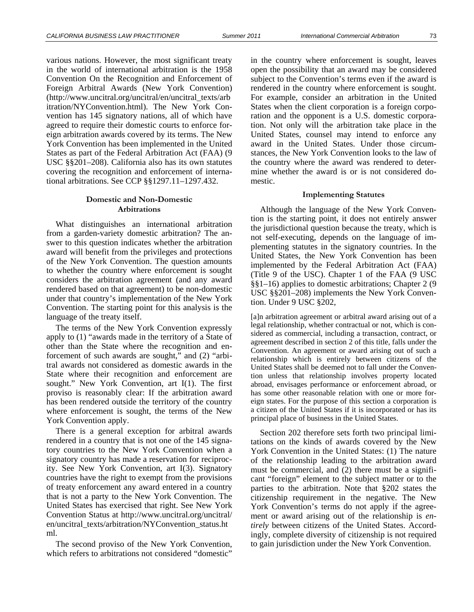various nations. However, the most significant treaty in the world of international arbitration is the 1958 Convention On the Recognition and Enforcement of Foreign Arbitral Awards (New York Convention) (http://www.uncitral.org/uncitral/en/uncitral\_texts/arb itration/NYConvention.html). The New York Convention has 145 signatory nations, all of which have agreed to require their domestic courts to enforce foreign arbitration awards covered by its terms. The New York Convention has been implemented in the United States as part of the Federal Arbitration Act (FAA) (9 USC §§201–208). California also has its own statutes covering the recognition and enforcement of international arbitrations. See CCP §§1297.11–1297.432.

## **Domestic and Non-Domestic Arbitrations**

What distinguishes an international arbitration from a garden-variety domestic arbitration? The answer to this question indicates whether the arbitration award will benefit from the privileges and protections of the New York Convention. The question amounts to whether the country where enforcement is sought considers the arbitration agreement (and any award rendered based on that agreement) to be non-domestic under that country's implementation of the New York Convention. The starting point for this analysis is the language of the treaty itself.

The terms of the New York Convention expressly apply to (1) "awards made in the territory of a State of other than the State where the recognition and enforcement of such awards are sought," and (2) "arbitral awards not considered as domestic awards in the State where their recognition and enforcement are sought." New York Convention, art I(1). The first proviso is reasonably clear: If the arbitration award has been rendered outside the territory of the country where enforcement is sought, the terms of the New York Convention apply.

There is a general exception for arbitral awards rendered in a country that is not one of the 145 signatory countries to the New York Convention when a signatory country has made a reservation for reciprocity. See New York Convention, art I(3). Signatory countries have the right to exempt from the provisions of treaty enforcement any award entered in a country that is not a party to the New York Convention. The United States has exercised that right. See New York Convention Status at http://www.uncitral.org/uncitral/ en/uncitral\_texts/arbitration/NYConvention\_status.ht ml.

The second proviso of the New York Convention, which refers to arbitrations not considered "domestic"

in the country where enforcement is sought, leaves open the possibility that an award may be considered subject to the Convention's terms even if the award is rendered in the country where enforcement is sought. For example, consider an arbitration in the United States when the client corporation is a foreign corporation and the opponent is a U.S. domestic corporation. Not only will the arbitration take place in the United States, counsel may intend to enforce any award in the United States. Under those circumstances, the New York Convention looks to the law of the country where the award was rendered to determine whether the award is or is not considered domestic.

#### **Implementing Statutes**

Although the language of the New York Convention is the starting point, it does not entirely answer the jurisdictional question because the treaty, which is not self-executing, depends on the language of implementing statutes in the signatory countries. In the United States, the New York Convention has been implemented by the Federal Arbitration Act (FAA) (Title 9 of the USC). Chapter 1 of the FAA (9 USC §§1–16) applies to domestic arbitrations; Chapter 2 (9 USC §§201–208) implements the New York Convention. Under 9 USC §202,

[a]n arbitration agreement or arbitral award arising out of a legal relationship, whether contractual or not, which is considered as commercial, including a transaction, contract, or agreement described in section 2 of this title, falls under the Convention. An agreement or award arising out of such a relationship which is entirely between citizens of the United States shall be deemed not to fall under the Convention unless that relationship involves property located abroad, envisages performance or enforcement abroad, or has some other reasonable relation with one or more foreign states. For the purpose of this section a corporation is a citizen of the United States if it is incorporated or has its principal place of business in the United States.

Section 202 therefore sets forth two principal limitations on the kinds of awards covered by the New York Convention in the United States: (1) The nature of the relationship leading to the arbitration award must be commercial, and (2) there must be a significant "foreign" element to the subject matter or to the parties to the arbitration. Note that §202 states the citizenship requirement in the negative. The New York Convention's terms do not apply if the agreement or award arising out of the relationship is *entirely* between citizens of the United States. Accordingly, complete diversity of citizenship is not required to gain jurisdiction under the New York Convention.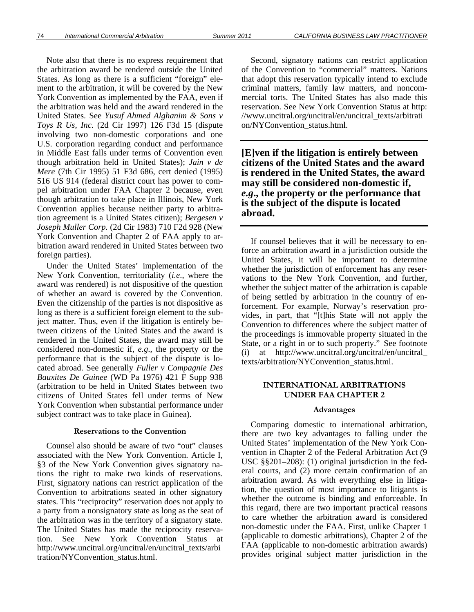Note also that there is no express requirement that the arbitration award be rendered outside the United States. As long as there is a sufficient "foreign" element to the arbitration, it will be covered by the New York Convention as implemented by the FAA, even if the arbitration was held and the award rendered in the United States. See *Yusuf Ahmed Alghanim & Sons v Toys R Us, Inc.* (2d Cir 1997) 126 F3d 15 (dispute involving two non-domestic corporations and one U.S. corporation regarding conduct and performance in Middle East falls under terms of Convention even though arbitration held in United States); *Jain v de Mere* (7th Cir 1995) 51 F3d 686, cert denied (1995) 516 US 914 (federal district court has power to compel arbitration under FAA Chapter 2 because, even though arbitration to take place in Illinois, New York Convention applies because neither party to arbitration agreement is a United States citizen); *Bergesen v Joseph Muller Corp.* (2d Cir 1983) 710 F2d 928 (New York Convention and Chapter 2 of FAA apply to arbitration award rendered in United States between two foreign parties).

Under the United States' implementation of the New York Convention, territoriality (*i.e*., where the award was rendered) is not dispositive of the question of whether an award is covered by the Convention. Even the citizenship of the parties is not dispositive as long as there is a sufficient foreign element to the subject matter. Thus, even if the litigation is entirely between citizens of the United States and the award is rendered in the United States, the award may still be considered non-domestic if, *e.g*., the property or the performance that is the subject of the dispute is located abroad. See generally *Fuller v Compagnie Des Bauxites De Guinee* (WD Pa 1976) 421 F Supp 938 (arbitration to be held in United States between two citizens of United States fell under terms of New York Convention when substantial performance under subject contract was to take place in Guinea).

#### **Reservations to the Convention**

Counsel also should be aware of two "out" clauses associated with the New York Convention. Article I, §3 of the New York Convention gives signatory nations the right to make two kinds of reservations. First, signatory nations can restrict application of the Convention to arbitrations seated in other signatory states. This "reciprocity" reservation does not apply to a party from a nonsignatory state as long as the seat of the arbitration was in the territory of a signatory state. The United States has made the reciprocity reservation. See New York Convention Status at http://www.uncitral.org/uncitral/en/uncitral\_texts/arbi tration/NYConvention\_status.html.

Second, signatory nations can restrict application of the Convention to "commercial" matters. Nations that adopt this reservation typically intend to exclude criminal matters, family law matters, and noncommercial torts. The United States has also made this reservation. See New York Convention Status at http: //www.uncitral.org/uncitral/en/uncitral\_texts/arbitrati on/NYConvention\_status.html.

**[E]ven if the litigation is entirely between citizens of the United States and the award is rendered in the United States, the award may still be considered non-domestic if,**  *e.g***., the property or the performance that is the subject of the dispute is located abroad.** 

If counsel believes that it will be necessary to enforce an arbitration award in a jurisdiction outside the United States, it will be important to determine whether the jurisdiction of enforcement has any reservations to the New York Convention, and further, whether the subject matter of the arbitration is capable of being settled by arbitration in the country of enforcement. For example, Norway's reservation provides, in part, that "[t]his State will not apply the Convention to differences where the subject matter of the proceedings is immovable property situated in the State, or a right in or to such property." See footnote (i) at http://www.uncitral.org/uncitral/en/uncitral\_ texts/arbitration/NYConvention\_status.html.

## **INTERNATIONAL ARBITRATIONS UNDER FAA CHAPTER 2**

#### **Advantages**

Comparing domestic to international arbitration, there are two key advantages to falling under the United States' implementation of the New York Convention in Chapter 2 of the Federal Arbitration Act (9 USC §§201–208): (1) original jurisdiction in the federal courts, and (2) more certain confirmation of an arbitration award. As with everything else in litigation, the question of most importance to litigants is whether the outcome is binding and enforceable. In this regard, there are two important practical reasons to care whether the arbitration award is considered non-domestic under the FAA. First, unlike Chapter 1 (applicable to domestic arbitrations), Chapter 2 of the FAA (applicable to non-domestic arbitration awards) provides original subject matter jurisdiction in the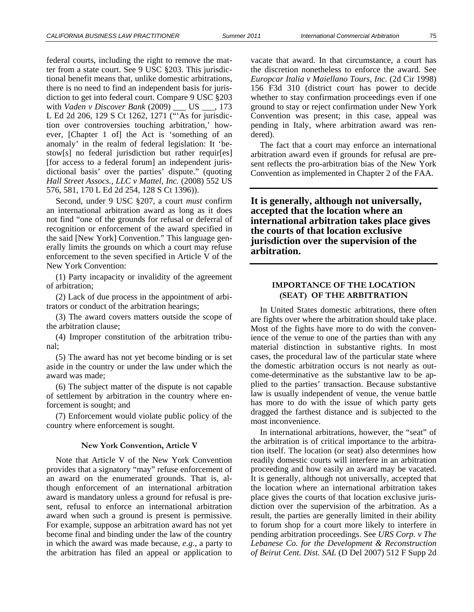federal courts, including the right to remove the matter from a state court. See 9 USC §203. This jurisdictional benefit means that, unlike domestic arbitrations, there is no need to find an independent basis for jurisdiction to get into federal court. Compare 9 USC §203 with *Vaden v Discover Bank* (2009) US . 173 L Ed 2d 206, 129 S Ct 1262, 1271 ("'As for jurisdiction over controversies touching arbitration,' however, [Chapter 1 of] the Act is 'something of an anomaly' in the realm of federal legislation: It 'bestow[s] no federal jurisdiction but rather requir[es] [for access to a federal forum] an independent jurisdictional basis' over the parties' dispute." (quoting *Hall Street Assocs., LLC v Mattel, Inc.* (2008) 552 US 576, 581, 170 L Ed 2d 254, 128 S Ct 1396)).

Second, under 9 USC §207, a court *must* confirm an international arbitration award as long as it does not find "one of the grounds for refusal or deferral of recognition or enforcement of the award specified in the said [New York] Convention." This language generally limits the grounds on which a court may refuse enforcement to the seven specified in Article V of the New York Convention:

(1) Party incapacity or invalidity of the agreement of arbitration;

(2) Lack of due process in the appointment of arbitrators or conduct of the arbitration hearings;

(3) The award covers matters outside the scope of the arbitration clause;

(4) Improper constitution of the arbitration tribunal;

(5) The award has not yet become binding or is set aside in the country or under the law under which the award was made;

(6) The subject matter of the dispute is not capable of settlement by arbitration in the country where enforcement is sought; and

(7) Enforcement would violate public policy of the country where enforcement is sought.

#### **New York Convention, Article V**

Note that Article V of the New York Convention provides that a signatory "may" refuse enforcement of an award on the enumerated grounds. That is, although enforcement of an international arbitration award is mandatory unless a ground for refusal is present, refusal to enforce an international arbitration award when such a ground is present is permissive. For example, suppose an arbitration award has not yet become final and binding under the law of the country in which the award was made because, *e.g*., a party to the arbitration has filed an appeal or application to

vacate that award. In that circumstance, a court has the discretion nonetheless to enforce the award. See *Europcar Italia v Maiellano Tours, Inc.* (2d Cir 1998) 156 F3d 310 (district court has power to decide whether to stay confirmation proceedings even if one ground to stay or reject confirmation under New York Convention was present; in this case, appeal was pending in Italy, where arbitration award was rendered).

The fact that a court may enforce an international arbitration award even if grounds for refusal are present reflects the pro-arbitration bias of the New York Convention as implemented in Chapter 2 of the FAA.

**It is generally, although not universally, accepted that the location where an international arbitration takes place gives the courts of that location exclusive jurisdiction over the supervision of the arbitration.** 

## **IMPORTANCE OF THE LOCATION (SEAT) OF THE ARBITRATION**

In United States domestic arbitrations, there often are fights over where the arbitration should take place. Most of the fights have more to do with the convenience of the venue to one of the parties than with any material distinction in substantive rights. In most cases, the procedural law of the particular state where the domestic arbitration occurs is not nearly as outcome-determinative as the substantive law to be applied to the parties' transaction. Because substantive law is usually independent of venue, the venue battle has more to do with the issue of which party gets dragged the farthest distance and is subjected to the most inconvenience.

In international arbitrations, however, the "seat" of the arbitration is of critical importance to the arbitration itself. The location (or seat) also determines how readily domestic courts will interfere in an arbitration proceeding and how easily an award may be vacated. It is generally, although not universally, accepted that the location where an international arbitration takes place gives the courts of that location exclusive jurisdiction over the supervision of the arbitration. As a result, the parties are generally limited in their ability to forum shop for a court more likely to interfere in pending arbitration proceedings. See *URS Corp. v The Lebanese Co. for the Development & Reconstruction of Beirut Cent. Dist. SAL* (D Del 2007) 512 F Supp 2d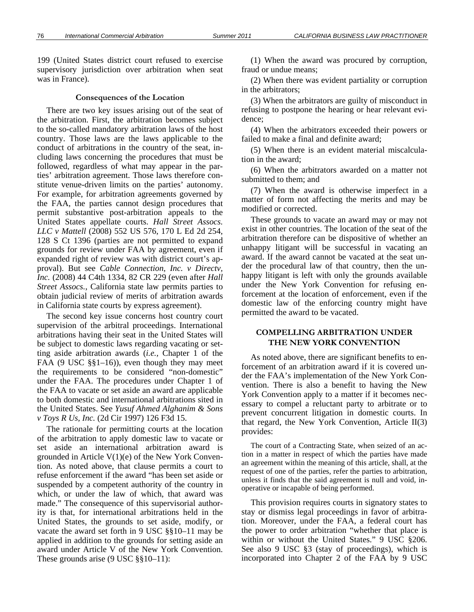199 (United States district court refused to exercise supervisory jurisdiction over arbitration when seat was in France).

#### **Consequences of the Location**

There are two key issues arising out of the seat of the arbitration. First, the arbitration becomes subject to the so-called mandatory arbitration laws of the host country. Those laws are the laws applicable to the conduct of arbitrations in the country of the seat, including laws concerning the procedures that must be followed, regardless of what may appear in the parties' arbitration agreement. Those laws therefore constitute venue-driven limits on the parties' autonomy. For example, for arbitration agreements governed by the FAA, the parties cannot design procedures that permit substantive post-arbitration appeals to the United States appellate courts. *Hall Street Assocs. LLC v Mattell* (2008) 552 US 576, 170 L Ed 2d 254, 128 S Ct 1396 (parties are not permitted to expand grounds for review under FAA by agreement, even if expanded right of review was with district court's approval). But see *Cable Connection, Inc. v Directv, Inc.* (2008) 44 C4th 1334, 82 CR 229 (even after *Hall Street Assocs.*, California state law permits parties to obtain judicial review of merits of arbitration awards in California state courts by express agreement).

The second key issue concerns host country court supervision of the arbitral proceedings. International arbitrations having their seat in the United States will be subject to domestic laws regarding vacating or setting aside arbitration awards (*i.e.,* Chapter 1 of the FAA (9 USC §§1–16)), even though they may meet the requirements to be considered "non-domestic" under the FAA. The procedures under Chapter 1 of the FAA to vacate or set aside an award are applicable to both domestic and international arbitrations sited in the United States. See *Yusuf Ahmed Alghanim & Sons v Toys R Us, Inc.* (2d Cir 1997) 126 F3d 15.

The rationale for permitting courts at the location of the arbitration to apply domestic law to vacate or set aside an international arbitration award is grounded in Article  $V(1)(e)$  of the New York Convention. As noted above, that clause permits a court to refuse enforcement if the award "has been set aside or suspended by a competent authority of the country in which, or under the law of which, that award was made." The consequence of this supervisorial authority is that, for international arbitrations held in the United States, the grounds to set aside, modify, or vacate the award set forth in 9 USC §§10–11 may be applied in addition to the grounds for setting aside an award under Article V of the New York Convention. These grounds arise (9 USC  $\S$ §10–11):

(1) When the award was procured by corruption, fraud or undue means;

(2) When there was evident partiality or corruption in the arbitrators;

(3) When the arbitrators are guilty of misconduct in refusing to postpone the hearing or hear relevant evidence;

(4) When the arbitrators exceeded their powers or failed to make a final and definite award;

(5) When there is an evident material miscalculation in the award;

(6) When the arbitrators awarded on a matter not submitted to them; and

(7) When the award is otherwise imperfect in a matter of form not affecting the merits and may be modified or corrected.

These grounds to vacate an award may or may not exist in other countries. The location of the seat of the arbitration therefore can be dispositive of whether an unhappy litigant will be successful in vacating an award. If the award cannot be vacated at the seat under the procedural law of that country, then the unhappy litigant is left with only the grounds available under the New York Convention for refusing enforcement at the location of enforcement, even if the domestic law of the enforcing country might have permitted the award to be vacated.

## **COMPELLING ARBITRATION UNDER THE NEW YORK CONVENTION**

As noted above, there are significant benefits to enforcement of an arbitration award if it is covered under the FAA's implementation of the New York Convention. There is also a benefit to having the New York Convention apply to a matter if it becomes necessary to compel a reluctant party to arbitrate or to prevent concurrent litigation in domestic courts. In that regard, the New York Convention, Article II(3) provides:

The court of a Contracting State, when seized of an action in a matter in respect of which the parties have made an agreement within the meaning of this article, shall, at the request of one of the parties, refer the parties to arbitration, unless it finds that the said agreement is null and void, inoperative or incapable of being performed.

This provision requires courts in signatory states to stay or dismiss legal proceedings in favor of arbitration. Moreover, under the FAA, a federal court has the power to order arbitration "whether that place is within or without the United States." 9 USC §206. See also 9 USC §3 (stay of proceedings), which is incorporated into Chapter 2 of the FAA by 9 USC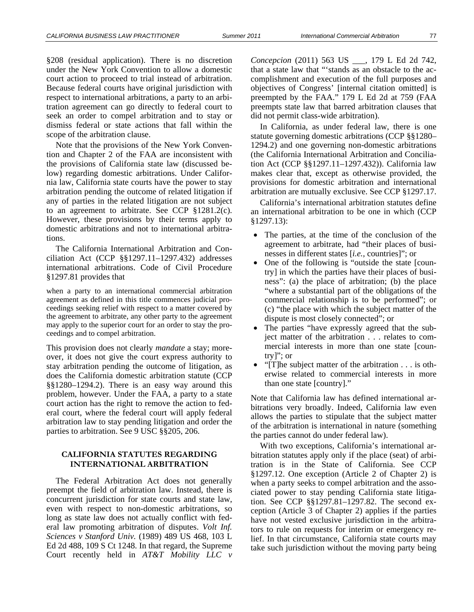§208 (residual application). There is no discretion under the New York Convention to allow a domestic court action to proceed to trial instead of arbitration. Because federal courts have original jurisdiction with respect to international arbitrations, a party to an arbitration agreement can go directly to federal court to seek an order to compel arbitration and to stay or dismiss federal or state actions that fall within the scope of the arbitration clause.

Note that the provisions of the New York Convention and Chapter 2 of the FAA are inconsistent with the provisions of California state law (discussed below) regarding domestic arbitrations. Under California law, California state courts have the power to stay arbitration pending the outcome of related litigation if any of parties in the related litigation are not subject to an agreement to arbitrate. See CCP §1281.2(c). However, these provisions by their terms apply to domestic arbitrations and not to international arbitrations.

The California International Arbitration and Conciliation Act (CCP §§1297.11–1297.432) addresses international arbitrations. Code of Civil Procedure §1297.81 provides that

when a party to an international commercial arbitration agreement as defined in this title commences judicial proceedings seeking relief with respect to a matter covered by the agreement to arbitrate, any other party to the agreement may apply to the superior court for an order to stay the proceedings and to compel arbitration.

This provision does not clearly *mandate* a stay; moreover, it does not give the court express authority to stay arbitration pending the outcome of litigation, as does the California domestic arbitration statute (CCP §§1280–1294.2). There is an easy way around this problem, however. Under the FAA, a party to a state court action has the right to remove the action to federal court, where the federal court will apply federal arbitration law to stay pending litigation and order the parties to arbitration. See 9 USC §§205, 206.

## **CALIFORNIA STATUTES REGARDING INTERNATIONAL ARBITRATION**

The Federal Arbitration Act does not generally preempt the field of arbitration law. Instead, there is concurrent jurisdiction for state courts and state law, even with respect to non-domestic arbitrations, so long as state law does not actually conflict with federal law promoting arbitration of disputes. *Volt Inf. Sciences v Stanford Univ.* (1989) 489 US 468, 103 L Ed 2d 488, 109 S Ct 1248. In that regard, the Supreme Court recently held in *AT&T Mobility LLC v* 

*Concepcion* (2011) 563 US \_\_\_, 179 L Ed 2d 742, that a state law that "'stands as an obstacle to the accomplishment and execution of the full purposes and objectives of Congress' [internal citation omitted] is preempted by the FAA." 179 L Ed 2d at 759 (FAA preempts state law that barred arbitration clauses that did not permit class-wide arbitration).

In California, as under federal law, there is one statute governing domestic arbitrations (CCP §§1280– 1294.2) and one governing non-domestic arbitrations (the California International Arbitration and Conciliation Act (CCP §§1297.11–1297.432)). California law makes clear that, except as otherwise provided, the provisions for domestic arbitration and international arbitration are mutually exclusive. See CCP §1297.17.

California's international arbitration statutes define an international arbitration to be one in which (CCP §1297.13):

- The parties, at the time of the conclusion of the agreement to arbitrate, had "their places of businesses in different states [*i.e.,* countries]"; or
- One of the following is "outside the state [country] in which the parties have their places of business": (a) the place of arbitration; (b) the place "where a substantial part of the obligations of the commercial relationship is to be performed"; or (c) "the place with which the subject matter of the dispute is most closely connected"; or
- The parties "have expressly agreed that the subject matter of the arbitration . . . relates to commercial interests in more than one state [country]"; or
- "[T]he subject matter of the arbitration . . . is otherwise related to commercial interests in more than one state [country]."

Note that California law has defined international arbitrations very broadly. Indeed, California law even allows the parties to stipulate that the subject matter of the arbitration is international in nature (something the parties cannot do under federal law).

With two exceptions, California's international arbitration statutes apply only if the place (seat) of arbitration is in the State of California. See CCP §1297.12. One exception (Article 2 of Chapter 2) is when a party seeks to compel arbitration and the associated power to stay pending California state litigation. See CCP §§1297.81–1297.82. The second exception (Article 3 of Chapter 2) applies if the parties have not vested exclusive jurisdiction in the arbitrators to rule on requests for interim or emergency relief. In that circumstance, California state courts may take such jurisdiction without the moving party being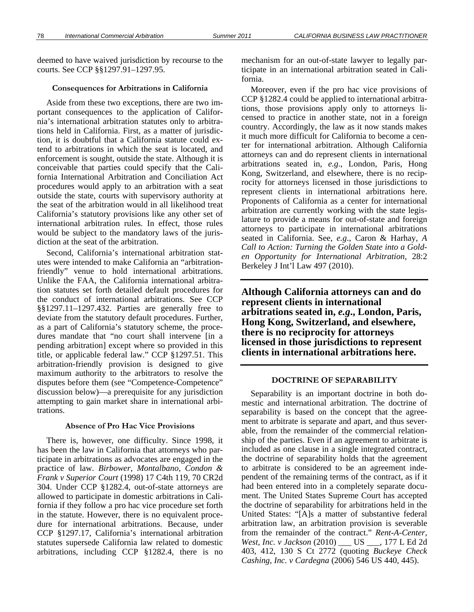deemed to have waived jurisdiction by recourse to the courts. See CCP §§1297.91–1297.95.

#### **Consequences for Arbitrations in California**

Aside from these two exceptions, there are two important consequences to the application of California's international arbitration statutes only to arbitrations held in California. First, as a matter of jurisdiction, it is doubtful that a California statute could extend to arbitrations in which the seat is located, and enforcement is sought, outside the state. Although it is conceivable that parties could specify that the California International Arbitration and Conciliation Act procedures would apply to an arbitration with a seat outside the state, courts with supervisory authority at the seat of the arbitration would in all likelihood treat California's statutory provisions like any other set of international arbitration rules. In effect, those rules would be subject to the mandatory laws of the jurisdiction at the seat of the arbitration.

Second, California's international arbitration statutes were intended to make California an "arbitrationfriendly" venue to hold international arbitrations. Unlike the FAA, the California international arbitration statutes set forth detailed default procedures for the conduct of international arbitrations. See CCP §§1297.11–1297.432. Parties are generally free to deviate from the statutory default procedures. Further, as a part of California's statutory scheme, the procedures mandate that "no court shall intervene [in a pending arbitration] except where so provided in this title, or applicable federal law." CCP §1297.51. This arbitration-friendly provision is designed to give maximum authority to the arbitrators to resolve the disputes before them (see "Competence-Competence" discussion below)—a prerequisite for any jurisdiction attempting to gain market share in international arbitrations.

#### **Absence of Pro Hac Vice Provisions**

There is, however, one difficulty. Since 1998, it has been the law in California that attorneys who participate in arbitrations as advocates are engaged in the practice of law. *Birbower, Montalbano, Condon & Frank v Superior Court* (1998) 17 C4th 119, 70 CR2d 304. Under CCP §1282.4, out-of-state attorneys are allowed to participate in domestic arbitrations in California if they follow a pro hac vice procedure set forth in the statute. However, there is no equivalent procedure for international arbitrations. Because, under CCP §1297.17, California's international arbitration statutes supersede California law related to domestic arbitrations, including CCP §1282.4, there is no

mechanism for an out-of-state lawyer to legally participate in an international arbitration seated in California.

Moreover, even if the pro hac vice provisions of CCP §1282.4 could be applied to international arbitrations, those provisions apply only to attorneys licensed to practice in another state, not in a foreign country. Accordingly, the law as it now stands makes it much more difficult for California to become a center for international arbitration. Although California attorneys can and do represent clients in international arbitrations seated in, *e.g*., London, Paris, Hong Kong, Switzerland, and elsewhere, there is no reciprocity for attorneys licensed in those jurisdictions to represent clients in international arbitrations here. Proponents of California as a center for international arbitration are currently working with the state legislature to provide a means for out-of-state and foreign attorneys to participate in international arbitrations seated in California. See, *e.g*., Caron & Harhay, *A Call to Action: Turning the Golden State into a Golden Opportunity for International Arbitration*, 28:2 Berkeley J Int'l Law 497 (2010).

**Although California attorneys can and do represent clients in international arbitrations seated in,** *e.g***., London, Paris, Hong Kong, Switzerland, and elsewhere, there is no reciprocity for attorneys licensed in those jurisdictions to represent clients in international arbitrations here.** 

#### **DOCTRINE OF SEPARABILITY**

Separability is an important doctrine in both domestic and international arbitration. The doctrine of separability is based on the concept that the agreement to arbitrate is separate and apart, and thus severable, from the remainder of the commercial relationship of the parties. Even if an agreement to arbitrate is included as one clause in a single integrated contract, the doctrine of separability holds that the agreement to arbitrate is considered to be an agreement independent of the remaining terms of the contract, as if it had been entered into in a completely separate document. The United States Supreme Court has accepted the doctrine of separability for arbitrations held in the United States: "[A]s a matter of substantive federal arbitration law, an arbitration provision is severable from the remainder of the contract." *Rent-A-Center, West, Inc. v Jackson* (2010) \_\_\_ US \_\_\_, 177 L Ed 2d 403, 412, 130 S Ct 2772 (quoting *Buckeye Check Cashing, Inc. v Cardegna* (2006) 546 US 440, 445).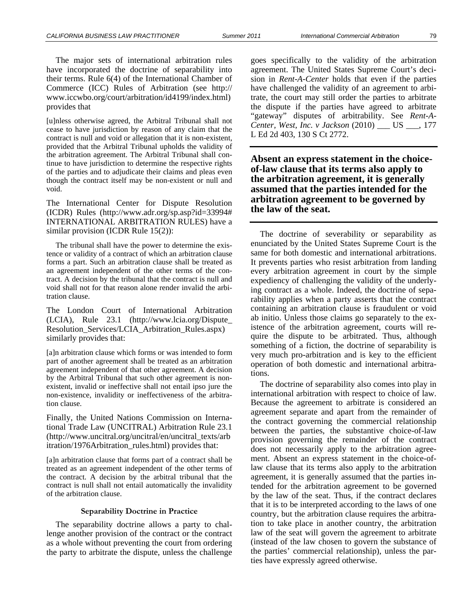The major sets of international arbitration rules have incorporated the doctrine of separability into their terms. Rule 6(4) of the International Chamber of Commerce (ICC) Rules of Arbitration (see http:// www.iccwbo.org/court/arbitration/id4199/index.html) provides that

[u]nless otherwise agreed, the Arbitral Tribunal shall not cease to have jurisdiction by reason of any claim that the contract is null and void or allegation that it is non-existent, provided that the Arbitral Tribunal upholds the validity of the arbitration agreement. The Arbitral Tribunal shall continue to have jurisdiction to determine the respective rights of the parties and to adjudicate their claims and pleas even though the contract itself may be non-existent or null and void.

The International Center for Dispute Resolution (ICDR) Rules (http://www.adr.org/sp.asp?id=33994# INTERNATIONAL ARBITRATION RULES) have a similar provision (ICDR Rule 15(2)):

The tribunal shall have the power to determine the existence or validity of a contract of which an arbitration clause forms a part. Such an arbitration clause shall be treated as an agreement independent of the other terms of the contract. A decision by the tribunal that the contract is null and void shall not for that reason alone render invalid the arbitration clause.

The London Court of International Arbitration (LCIA), Rule 23.1 (http://www.lcia.org/Dispute\_ Resolution\_Services/LCIA\_Arbitration\_Rules.aspx) similarly provides that:

[a]n arbitration clause which forms or was intended to form part of another agreement shall be treated as an arbitration agreement independent of that other agreement. A decision by the Arbitral Tribunal that such other agreement is nonexistent, invalid or ineffective shall not entail ipso jure the non-existence, invalidity or ineffectiveness of the arbitration clause.

Finally, the United Nations Commission on International Trade Law (UNCITRAL) Arbitration Rule 23.1 (http://www.uncitral.org/uncitral/en/uncitral\_texts/arb itration/1976Arbitration\_rules.html) provides that:

[a]n arbitration clause that forms part of a contract shall be treated as an agreement independent of the other terms of the contract. A decision by the arbitral tribunal that the contract is null shall not entail automatically the invalidity of the arbitration clause.

#### **Separability Doctrine in Practice**

The separability doctrine allows a party to challenge another provision of the contract or the contract as a whole without preventing the court from ordering the party to arbitrate the dispute, unless the challenge goes specifically to the validity of the arbitration agreement. The United States Supreme Court's decision in *Rent-A-Center* holds that even if the parties have challenged the validity of an agreement to arbitrate, the court may still order the parties to arbitrate the dispute if the parties have agreed to arbitrate "gateway" disputes of arbitrability. See *Rent-A-Center, West, Inc. v Jackson* (2010) \_\_\_ US \_\_\_, 177 L Ed 2d 403, 130 S Ct 2772.

**Absent an express statement in the choiceof-law clause that its terms also apply to the arbitration agreement, it is generally assumed that the parties intended for the arbitration agreement to be governed by the law of the seat.** 

The doctrine of severability or separability as enunciated by the United States Supreme Court is the same for both domestic and international arbitrations. It prevents parties who resist arbitration from landing every arbitration agreement in court by the simple expediency of challenging the validity of the underlying contract as a whole. Indeed, the doctrine of separability applies when a party asserts that the contract containing an arbitration clause is fraudulent or void ab initio. Unless those claims go separately to the existence of the arbitration agreement, courts will require the dispute to be arbitrated. Thus, although something of a fiction, the doctrine of separability is very much pro-arbitration and is key to the efficient operation of both domestic and international arbitrations.

The doctrine of separability also comes into play in international arbitration with respect to choice of law. Because the agreement to arbitrate is considered an agreement separate and apart from the remainder of the contract governing the commercial relationship between the parties, the substantive choice-of-law provision governing the remainder of the contract does not necessarily apply to the arbitration agreement. Absent an express statement in the choice-oflaw clause that its terms also apply to the arbitration agreement, it is generally assumed that the parties intended for the arbitration agreement to be governed by the law of the seat. Thus, if the contract declares that it is to be interpreted according to the laws of one country, but the arbitration clause requires the arbitration to take place in another country, the arbitration law of the seat will govern the agreement to arbitrate (instead of the law chosen to govern the substance of the parties' commercial relationship), unless the parties have expressly agreed otherwise.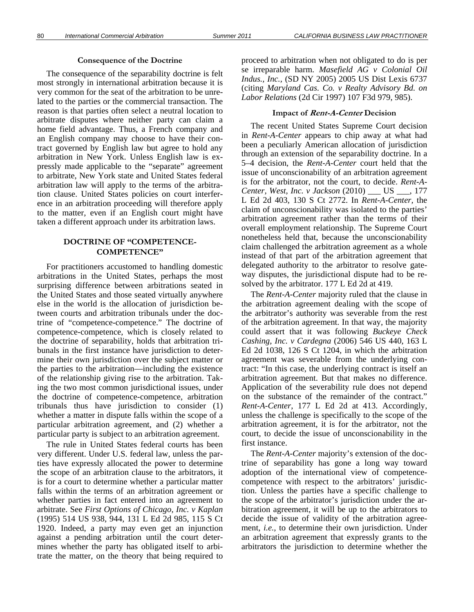#### **Consequence of the Doctrine**

The consequence of the separability doctrine is felt most strongly in international arbitration because it is very common for the seat of the arbitration to be unrelated to the parties or the commercial transaction. The reason is that parties often select a neutral location to arbitrate disputes where neither party can claim a home field advantage. Thus, a French company and an English company may choose to have their contract governed by English law but agree to hold any arbitration in New York. Unless English law is expressly made applicable to the "separate" agreement to arbitrate, New York state and United States federal arbitration law will apply to the terms of the arbitration clause. United States policies on court interference in an arbitration proceeding will therefore apply to the matter, even if an English court might have taken a different approach under its arbitration laws.

## **DOCTRINE OF "COMPETENCE-COMPETENCE"**

For practitioners accustomed to handling domestic arbitrations in the United States, perhaps the most surprising difference between arbitrations seated in the United States and those seated virtually anywhere else in the world is the allocation of jurisdiction between courts and arbitration tribunals under the doctrine of "competence-competence." The doctrine of competence-competence, which is closely related to the doctrine of separability, holds that arbitration tribunals in the first instance have jurisdiction to determine their own jurisdiction over the subject matter or the parties to the arbitration—including the existence of the relationship giving rise to the arbitration. Taking the two most common jurisdictional issues, under the doctrine of competence-competence, arbitration tribunals thus have jurisdiction to consider (1) whether a matter in dispute falls within the scope of a particular arbitration agreement, and (2) whether a particular party is subject to an arbitration agreement.

The rule in United States federal courts has been very different. Under U.S. federal law, unless the parties have expressly allocated the power to determine the scope of an arbitration clause to the arbitrators, it is for a court to determine whether a particular matter falls within the terms of an arbitration agreement or whether parties in fact entered into an agreement to arbitrate. See *First Options of Chicago, Inc. v Kaplan*  (1995) 514 US 938, 944, 131 L Ed 2d 985, 115 S Ct 1920. Indeed, a party may even get an injunction against a pending arbitration until the court determines whether the party has obligated itself to arbitrate the matter, on the theory that being required to

proceed to arbitration when not obligated to do is per se irreparable harm. *Masefield AG v Colonial Oil Indus., Inc.,* (SD NY 2005) 2005 US Dist Lexis 6737 (citing *Maryland Cas. Co. v Realty Advisory Bd. on Labor Relations* (2d Cir 1997) 107 F3d 979, 985).

#### **Impact of Rent-A-Center Decision**

The recent United States Supreme Court decision in *Rent-A-Center* appears to chip away at what had been a peculiarly American allocation of jurisdiction through an extension of the separability doctrine. In a 5–4 decision, the *Rent-A-Center* court held that the issue of unconscionability of an arbitration agreement is for the arbitrator, not the court, to decide. *Rent-A-Center, West, Inc. v Jackson* (2010) \_\_\_ US \_\_\_, 177 L Ed 2d 403, 130 S Ct 2772. In *Rent-A-Center,* the claim of unconscionability was isolated to the parties' arbitration agreement rather than the terms of their overall employment relationship. The Supreme Court nonetheless held that, because the unconscionability claim challenged the arbitration agreement as a whole instead of that part of the arbitration agreement that delegated authority to the arbitrator to resolve gateway disputes, the jurisdictional dispute had to be resolved by the arbitrator. 177 L Ed 2d at 419.

The *Rent-A-Center* majority ruled that the clause in the arbitration agreement dealing with the scope of the arbitrator's authority was severable from the rest of the arbitration agreement. In that way, the majority could assert that it was following *Buckeye Check Cashing, Inc. v Cardegna* (2006) 546 US 440, 163 L Ed 2d 1038, 126 S Ct 1204, in which the arbitration agreement was severable from the underlying contract: "In this case, the underlying contract is itself an arbitration agreement. But that makes no difference. Application of the severability rule does not depend on the substance of the remainder of the contract." *Rent-A-Center*, 177 L Ed 2d at 413. Accordingly, unless the challenge is specifically to the scope of the arbitration agreement, it is for the arbitrator, not the court, to decide the issue of unconscionability in the first instance.

The *Rent-A-Center* majority's extension of the doctrine of separability has gone a long way toward adoption of the international view of competencecompetence with respect to the arbitrators' jurisdiction. Unless the parties have a specific challenge to the scope of the arbitrator's jurisdiction under the arbitration agreement, it will be up to the arbitrators to decide the issue of validity of the arbitration agreement, *i.e.,* to determine their own jurisdiction. Under an arbitration agreement that expressly grants to the arbitrators the jurisdiction to determine whether the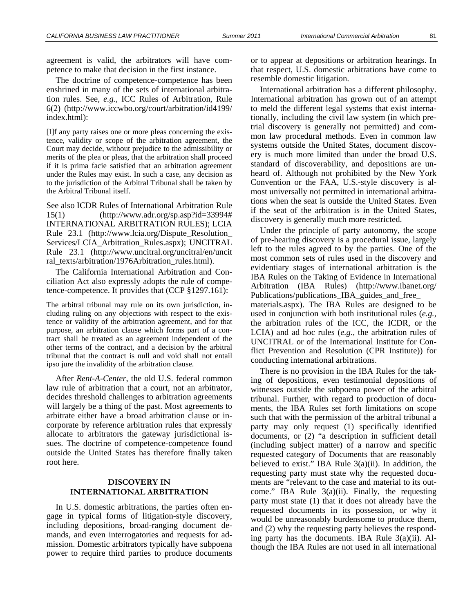agreement is valid, the arbitrators will have competence to make that decision in the first instance.

The doctrine of competence-competence has been enshrined in many of the sets of international arbitration rules. See, *e.g.,* ICC Rules of Arbitration, Rule 6(2) (http://www.iccwbo.org/court/arbitration/id4199/ index.html):

[I]f any party raises one or more pleas concerning the existence, validity or scope of the arbitration agreement, the Court may decide, without prejudice to the admissibility or merits of the plea or pleas, that the arbitration shall proceed if it is prima facie satisfied that an arbitration agreement under the Rules may exist. In such a case, any decision as to the jurisdiction of the Arbitral Tribunal shall be taken by the Arbitral Tribunal itself.

See also ICDR Rules of International Arbitration Rule 15(1) (http://www.adr.org/sp.asp?id=33994# INTERNATIONAL ARBITRATION RULES); LCIA Rule 23.1 (http://www.lcia.org/Dispute\_Resolution\_ Services/LCIA\_Arbitration\_Rules.aspx); UNCITRAL Rule 23.1 (http://www.uncitral.org/uncitral/en/uncit ral\_texts/arbitration/1976Arbitration\_rules.html).

The California International Arbitration and Conciliation Act also expressly adopts the rule of competence-competence. It provides that (CCP §1297.161):

The arbitral tribunal may rule on its own jurisdiction, including ruling on any objections with respect to the existence or validity of the arbitration agreement, and for that purpose, an arbitration clause which forms part of a contract shall be treated as an agreement independent of the other terms of the contract, and a decision by the arbitral tribunal that the contract is null and void shall not entail ipso jure the invalidity of the arbitration clause.

After *Rent-A-Center*, the old U.S. federal common law rule of arbitration that a court, not an arbitrator, decides threshold challenges to arbitration agreements will largely be a thing of the past. Most agreements to arbitrate either have a broad arbitration clause or incorporate by reference arbitration rules that expressly allocate to arbitrators the gateway jurisdictional issues. The doctrine of competence-competence found outside the United States has therefore finally taken root here.

## **DISCOVERY IN INTERNATIONAL ARBITRATION**

In U.S. domestic arbitrations, the parties often engage in typical forms of litigation-style discovery, including depositions, broad-ranging document demands, and even interrogatories and requests for admission. Domestic arbitrators typically have subpoena power to require third parties to produce documents

or to appear at depositions or arbitration hearings. In that respect, U.S. domestic arbitrations have come to resemble domestic litigation.

International arbitration has a different philosophy. International arbitration has grown out of an attempt to meld the different legal systems that exist internationally, including the civil law system (in which pretrial discovery is generally not permitted) and common law procedural methods. Even in common law systems outside the United States, document discovery is much more limited than under the broad U.S. standard of discoverability, and depositions are unheard of. Although not prohibited by the New York Convention or the FAA, U.S.-style discovery is almost universally not permitted in international arbitrations when the seat is outside the United States. Even if the seat of the arbitration is in the United States, discovery is generally much more restricted.

Under the principle of party autonomy, the scope of pre-hearing discovery is a procedural issue, largely left to the rules agreed to by the parties. One of the most common sets of rules used in the discovery and evidentiary stages of international arbitration is the IBA Rules on the Taking of Evidence in International Arbitration (IBA Rules) (http://www.ibanet.org/ Publications/publications IBA guides and free materials.aspx). The IBA Rules are designed to be used in conjunction with both institutional rules (*e.g.,* the arbitration rules of the ICC, the ICDR, or the LCIA) and ad hoc rules (*e.g*., the arbitration rules of UNCITRAL or of the International Institute for Conflict Prevention and Resolution (CPR Institute)) for conducting international arbitrations.

There is no provision in the IBA Rules for the taking of depositions, even testimonial depositions of witnesses outside the subpoena power of the arbitral tribunal. Further, with regard to production of documents, the IBA Rules set forth limitations on scope such that with the permission of the arbitral tribunal a party may only request (1) specifically identified documents, or (2) "a description in sufficient detail (including subject matter) of a narrow and specific requested category of Documents that are reasonably believed to exist." IBA Rule  $3(a)(ii)$ . In addition, the requesting party must state why the requested documents are "relevant to the case and material to its outcome." IBA Rule  $3(a)(ii)$ . Finally, the requesting party must state (1) that it does not already have the requested documents in its possession, or why it would be unreasonably burdensome to produce them, and (2) why the requesting party believes the responding party has the documents. IBA Rule 3(a)(ii). Although the IBA Rules are not used in all international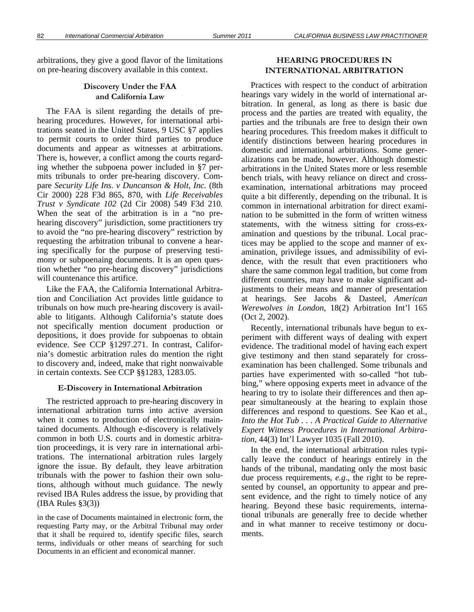## on pre-hearing discovery available in this context.

## **Discovery Under the FAA and California Law**

The FAA is silent regarding the details of prehearing procedures. However, for international arbitrations seated in the United States, 9 USC §7 applies to permit courts to order third parties to produce documents and appear as witnesses at arbitrations. There is, however, a conflict among the courts regarding whether the subpoena power included in §7 permits tribunals to order pre-hearing discovery. Compare *Security Life Ins. v Duncanson & Holt, Inc.* (8th Cir 2000) 228 F3d 865, 870, with *Life Receivables Trust v Syndicate 102* (2d Cir 2008) 549 F3d 210. When the seat of the arbitration is in a "no prehearing discovery" jurisdiction, some practitioners try to avoid the "no pre-hearing discovery" restriction by requesting the arbitration tribunal to convene a hearing specifically for the purpose of preserving testimony or subpoenaing documents. It is an open question whether "no pre-hearing discovery" jurisdictions will countenance this artifice.

Like the FAA, the California International Arbitration and Conciliation Act provides little guidance to tribunals on how much pre-hearing discovery is available to litigants. Although California's statute does not specifically mention document production or depositions, it does provide for subpoenas to obtain evidence. See CCP §1297.271. In contrast, California's domestic arbitration rules do mention the right to discovery and, indeed, make that right nonwaivable in certain contexts. See CCP §§1283, 1283.05.

## **E-Discovery in International Arbitration**

The restricted approach to pre-hearing discovery in international arbitration turns into active aversion when it comes to production of electronically maintained documents. Although e-discovery is relatively common in both U.S. courts and in domestic arbitration proceedings, it is very rare in international arbitrations. The international arbitration rules largely ignore the issue. By default, they leave arbitration tribunals with the power to fashion their own solutions, although without much guidance. The newly revised IBA Rules address the issue, by providing that  $(IBA Rules §3(3))$ 

in the case of Documents maintained in electronic form, the requesting Party may, or the Arbitral Tribunal may order that it shall be required to, identify specific files, search terms, individuals or other means of searching for such Documents in an efficient and economical manner.

## **HEARING PROCEDURES IN INTERNATIONAL ARBITRATION**

Practices with respect to the conduct of arbitration hearings vary widely in the world of international arbitration. In general, as long as there is basic due process and the parties are treated with equality, the parties and the tribunals are free to design their own hearing procedures. This freedom makes it difficult to identify distinctions between hearing procedures in domestic and international arbitrations. Some generalizations can be made, however. Although domestic arbitrations in the United States more or less resemble bench trials, with heavy reliance on direct and crossexamination, international arbitrations may proceed quite a bit differently, depending on the tribunal. It is common in international arbitration for direct examination to be submitted in the form of written witness statements, with the witness sitting for cross-examination and questions by the tribunal. Local practices may be applied to the scope and manner of examination, privilege issues, and admissibility of evidence, with the result that even practitioners who share the same common legal tradition, but come from different countries, may have to make significant adjustments to their means and manner of presentation at hearings. See Jacobs & Dasteel, *American Werewolves in London*, 18(2) Arbitration Int'l 165 (Oct 2, 2002).

Recently, international tribunals have begun to experiment with different ways of dealing with expert evidence. The traditional model of having each expert give testimony and then stand separately for crossexamination has been challenged. Some tribunals and parties have experimented with so-called "hot tubbing," where opposing experts meet in advance of the hearing to try to isolate their differences and then appear simultaneously at the hearing to explain those differences and respond to questions. See Kao et al., *Into the Hot Tub . . . A Practical Guide to Alternative Expert Witness Procedures in International Arbitration*, 44(3) Int'l Lawyer 1035 (Fall 2010).

In the end, the international arbitration rules typically leave the conduct of hearings entirely in the hands of the tribunal, mandating only the most basic due process requirements, *e.g*., the right to be represented by counsel, an opportunity to appear and present evidence, and the right to timely notice of any hearing. Beyond these basic requirements, international tribunals are generally free to decide whether and in what manner to receive testimony or documents.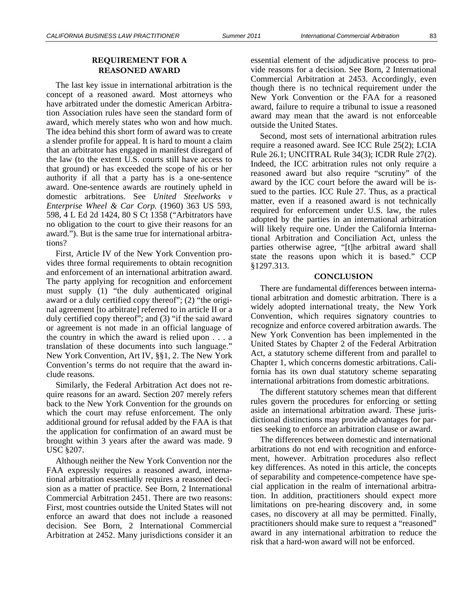### **REQUIREMENT FOR A REASONED AWARD**

The last key issue in international arbitration is the concept of a reasoned award. Most attorneys who have arbitrated under the domestic American Arbitration Association rules have seen the standard form of award, which merely states who won and how much. The idea behind this short form of award was to create a slender profile for appeal. It is hard to mount a claim that an arbitrator has engaged in manifest disregard of the law (to the extent U.S. courts still have access to that ground) or has exceeded the scope of his or her authority if all that a party has is a one-sentence award. One-sentence awards are routinely upheld in domestic arbitrations. See *United Steelworks v Enterprise Wheel & Car Corp.* (1960) 363 US 593, 598, 4 L Ed 2d 1424, 80 S Ct 1358 ("Arbitrators have no obligation to the court to give their reasons for an award."). But is the same true for international arbitrations?

First, Article IV of the New York Convention provides three formal requirements to obtain recognition and enforcement of an international arbitration award. The party applying for recognition and enforcement must supply (1) "the duly authenticated original award or a duly certified copy thereof"; (2) "the original agreement [to arbitrate] referred to in article II or a duly certified copy thereof"; and (3) "if the said award or agreement is not made in an official language of the country in which the award is relied upon . . . a translation of these documents into such language." New York Convention, Art IV, §§1, 2. The New York Convention's terms do not require that the award include reasons.

Similarly, the Federal Arbitration Act does not require reasons for an award. Section 207 merely refers back to the New York Convention for the grounds on which the court may refuse enforcement. The only additional ground for refusal added by the FAA is that the application for confirmation of an award must be brought within 3 years after the award was made. 9 USC §207.

Although neither the New York Convention nor the FAA expressly requires a reasoned award, international arbitration essentially requires a reasoned decision as a matter of practice. See Born, 2 International Commercial Arbitration 2451. There are two reasons: First, most countries outside the United States will not enforce an award that does not include a reasoned decision. See Born, 2 International Commercial Arbitration at 2452. Many jurisdictions consider it an

essential element of the adjudicative process to provide reasons for a decision. See Born, 2 International Commercial Arbitration at 2453. Accordingly, even though there is no technical requirement under the New York Convention or the FAA for a reasoned award, failure to require a tribunal to issue a reasoned award may mean that the award is not enforceable outside the United States.

Second, most sets of international arbitration rules require a reasoned award. See ICC Rule 25(2); LCIA Rule 26.1; UNCITRAL Rule 34(3); ICDR Rule 27(2). Indeed, the ICC arbitration rules not only require a reasoned award but also require "scrutiny" of the award by the ICC court before the award will be issued to the parties. ICC Rule 27. Thus, as a practical matter, even if a reasoned award is not technically required for enforcement under U.S. law, the rules adopted by the parties in an international arbitration will likely require one. Under the California International Arbitration and Conciliation Act, unless the parties otherwise agree, "[t]he arbitral award shall state the reasons upon which it is based." CCP §1297.313.

#### **CONCLUSION**

There are fundamental differences between international arbitration and domestic arbitration. There is a widely adopted international treaty, the New York Convention, which requires signatory countries to recognize and enforce covered arbitration awards. The New York Convention has been implemented in the United States by Chapter 2 of the Federal Arbitration Act, a statutory scheme different from and parallel to Chapter 1, which concerns domestic arbitrations. California has its own dual statutory scheme separating international arbitrations from domestic arbitrations.

The different statutory schemes mean that different rules govern the procedures for enforcing or setting aside an international arbitration award. These jurisdictional distinctions may provide advantages for parties seeking to enforce an arbitration clause or award.

The differences between domestic and international arbitrations do not end with recognition and enforcement, however. Arbitration procedures also reflect key differences. As noted in this article, the concepts of separability and competence-competence have special application in the realm of international arbitration. In addition, practitioners should expect more limitations on pre-hearing discovery and, in some cases, no discovery at all may be permitted. Finally, practitioners should make sure to request a "reasoned" award in any international arbitration to reduce the risk that a hard-won award will not be enforced.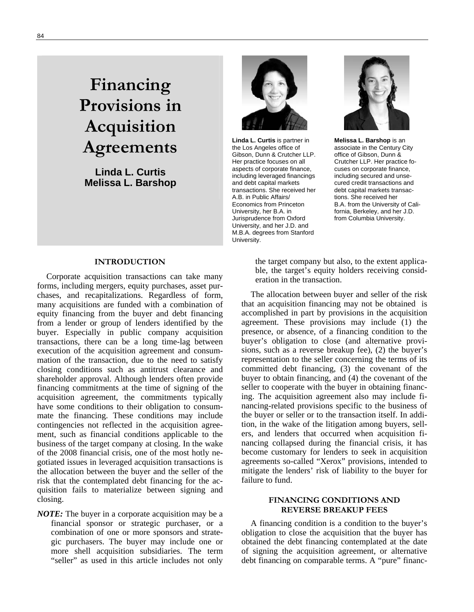## **Financing Provisions in Acquisition Agreements**

**Linda L. Curtis Melissa L. Barshop** 



**Linda L. Curtis** is partner in the Los Angeles office of Gibson, Dunn & Crutcher LLP. Her practice focuses on all aspects of corporate finance, including leveraged financings and debt capital markets transactions. She received her A.B. in Public Affairs/ Economics from Princeton University, her B.A. in Jurisprudence from Oxford University, and her J.D. and M.B.A. degrees from Stanford University.



**Melissa L. Barshop** is an associate in the Century City office of Gibson, Dunn & Crutcher LLP. Her practice focuses on corporate finance, including secured and unsecured credit transactions and debt capital markets transactions. She received her B.A. from the University of California, Berkeley, and her J.D. from Columbia University.

## **INTRODUCTION**

Corporate acquisition transactions can take many forms, including mergers, equity purchases, asset purchases, and recapitalizations. Regardless of form, many acquisitions are funded with a combination of equity financing from the buyer and debt financing from a lender or group of lenders identified by the buyer. Especially in public company acquisition transactions, there can be a long time-lag between execution of the acquisition agreement and consummation of the transaction, due to the need to satisfy closing conditions such as antitrust clearance and shareholder approval. Although lenders often provide financing commitments at the time of signing of the acquisition agreement, the commitments typically have some conditions to their obligation to consummate the financing. These conditions may include contingencies not reflected in the acquisition agreement, such as financial conditions applicable to the business of the target company at closing. In the wake of the 2008 financial crisis, one of the most hotly negotiated issues in leveraged acquisition transactions is the allocation between the buyer and the seller of the risk that the contemplated debt financing for the acquisition fails to materialize between signing and closing.

*NOTE:* The buyer in a corporate acquisition may be a financial sponsor or strategic purchaser, or a combination of one or more sponsors and strategic purchasers. The buyer may include one or more shell acquisition subsidiaries. The term "seller" as used in this article includes not only

the target company but also, to the extent applicable, the target's equity holders receiving consideration in the transaction.

The allocation between buyer and seller of the risk that an acquisition financing may not be obtained is accomplished in part by provisions in the acquisition agreement. These provisions may include (1) the presence, or absence, of a financing condition to the buyer's obligation to close (and alternative provisions, such as a reverse breakup fee), (2) the buyer's representation to the seller concerning the terms of its committed debt financing, (3) the covenant of the buyer to obtain financing, and (4) the covenant of the seller to cooperate with the buyer in obtaining financing. The acquisition agreement also may include financing-related provisions specific to the business of the buyer or seller or to the transaction itself. In addition, in the wake of the litigation among buyers, sellers, and lenders that occurred when acquisition financing collapsed during the financial crisis, it has become customary for lenders to seek in acquisition agreements so-called "Xerox" provisions, intended to mitigate the lenders' risk of liability to the buyer for failure to fund.

## **FINANCING CONDITIONS AND REVERSE BREAKUP FEES**

A financing condition is a condition to the buyer's obligation to close the acquisition that the buyer has obtained the debt financing contemplated at the date of signing the acquisition agreement, or alternative debt financing on comparable terms. A "pure" financ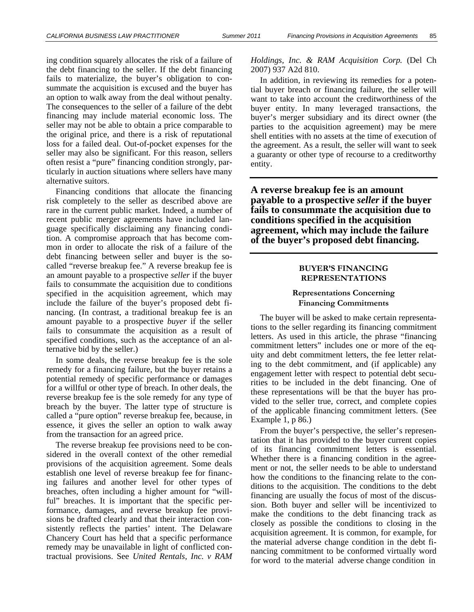ing condition squarely allocates the risk of a failure of the debt financing to the seller. If the debt financing fails to materialize, the buyer's obligation to consummate the acquisition is excused and the buyer has an option to walk away from the deal without penalty. The consequences to the seller of a failure of the debt financing may include material economic loss. The seller may not be able to obtain a price comparable to the original price, and there is a risk of reputational loss for a failed deal. Out-of-pocket expenses for the seller may also be significant. For this reason, sellers often resist a "pure" financing condition strongly, particularly in auction situations where sellers have many alternative suitors.

Financing conditions that allocate the financing risk completely to the seller as described above are rare in the current public market. Indeed, a number of recent public merger agreements have included language specifically disclaiming any financing condition. A compromise approach that has become common in order to allocate the risk of a failure of the debt financing between seller and buyer is the socalled "reverse breakup fee." A reverse breakup fee is an amount payable to a prospective *seller* if the buyer fails to consummate the acquisition due to conditions specified in the acquisition agreement, which may include the failure of the buyer's proposed debt financing. (In contrast, a traditional breakup fee is an amount payable to a prospective *buyer* if the seller fails to consummate the acquisition as a result of specified conditions, such as the acceptance of an alternative bid by the seller.)

In some deals, the reverse breakup fee is the sole remedy for a financing failure, but the buyer retains a potential remedy of specific performance or damages for a willful or other type of breach. In other deals, the reverse breakup fee is the sole remedy for any type of breach by the buyer. The latter type of structure is called a "pure option" reverse breakup fee, because, in essence, it gives the seller an option to walk away from the transaction for an agreed price.

The reverse breakup fee provisions need to be considered in the overall context of the other remedial provisions of the acquisition agreement. Some deals establish one level of reverse breakup fee for financing failures and another level for other types of breaches, often including a higher amount for "willful" breaches. It is important that the specific performance, damages, and reverse breakup fee provisions be drafted clearly and that their interaction consistently reflects the parties' intent. The Delaware Chancery Court has held that a specific performance remedy may be unavailable in light of conflicted contractual provisions. See *United Rentals, Inc. v RAM*  *Holdings, Inc. & RAM Acquisition Corp.* (Del Ch 2007) 937 A2d 810.

In addition, in reviewing its remedies for a potential buyer breach or financing failure, the seller will want to take into account the creditworthiness of the buyer entity. In many leveraged transactions, the buyer's merger subsidiary and its direct owner (the parties to the acquisition agreement) may be mere shell entities with no assets at the time of execution of the agreement. As a result, the seller will want to seek a guaranty or other type of recourse to a creditworthy entity.

**A reverse breakup fee is an amount payable to a prospective** *seller* **if the buyer fails to consummate the acquisition due to conditions specified in the acquisition agreement, which may include the failure of the buyer's proposed debt financing.** 

#### **BUYER'S FINANCING REPRESENTATIONS**

## **Representations Concerning Financing Commitments**

The buyer will be asked to make certain representations to the seller regarding its financing commitment letters. As used in this article, the phrase "financing commitment letters" includes one or more of the equity and debt commitment letters, the fee letter relating to the debt commitment, and (if applicable) any engagement letter with respect to potential debt securities to be included in the debt financing. One of these representations will be that the buyer has provided to the seller true, correct, and complete copies of the applicable financing commitment letters. (See Example 1, p 86.)

From the buyer's perspective, the seller's representation that it has provided to the buyer current copies of its financing commitment letters is essential. Whether there is a financing condition in the agreement or not, the seller needs to be able to understand how the conditions to the financing relate to the conditions to the acquisition. The conditions to the debt financing are usually the focus of most of the discussion. Both buyer and seller will be incentivized to make the conditions to the debt financing track as closely as possible the conditions to closing in the acquisition agreement. It is common, for example, for the material adverse change condition in the debt financing commitment to be conformed virtually word for word to the material adverse change condition in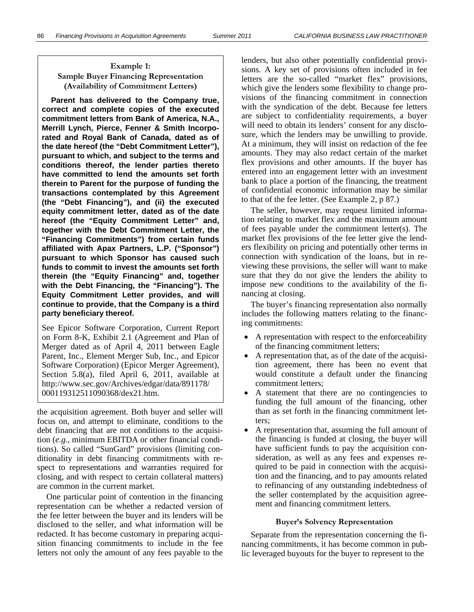## **Example 1: Sample Buyer Financing Representation (Availability of Commitment Letters)**

**Parent has delivered to the Company true, correct and complete copies of the executed commitment letters from Bank of America, N.A., Merrill Lynch, Pierce, Fenner & Smith Incorporated and Royal Bank of Canada, dated as of the date hereof (the "Debt Commitment Letter"), pursuant to which, and subject to the terms and conditions thereof, the lender parties thereto have committed to lend the amounts set forth therein to Parent for the purpose of funding the transactions contemplated by this Agreement (the "Debt Financing"), and (ii) the executed equity commitment letter, dated as of the date hereof (the "Equity Commitment Letter" and, together with the Debt Commitment Letter, the "Financing Commitments") from certain funds affiliated with Apax Partners, L.P. ("Sponsor") pursuant to which Sponsor has caused such funds to commit to invest the amounts set forth therein (the "Equity Financing" and, together with the Debt Financing, the "Financing"). The Equity Commitment Letter provides, and will continue to provide, that the Company is a third party beneficiary thereof.** 

See Epicor Software Corporation, Current Report on Form 8-K, Exhibit 2.1 (Agreement and Plan of Merger dated as of April 4, 2011 between Eagle Parent, Inc., Element Merger Sub, Inc., and Epicor Software Corporation) (Epicor Merger Agreement), Section 5.8(a), filed April 6, 2011, available at http://www.sec.gov/Archives/edgar/data/891178/ 000119312511090368/dex21.htm.

the acquisition agreement. Both buyer and seller will focus on, and attempt to eliminate, conditions to the debt financing that are not conditions to the acquisition (*e.g.,* minimum EBITDA or other financial conditions). So called "SunGard" provisions (limiting conditionality in debt financing commitments with respect to representations and warranties required for closing, and with respect to certain collateral matters) are common in the current market.

One particular point of contention in the financing representation can be whether a redacted version of the fee letter between the buyer and its lenders will be disclosed to the seller, and what information will be redacted. It has become customary in preparing acquisition financing commitments to include in the fee letters not only the amount of any fees payable to the lenders, but also other potentially confidential provisions. A key set of provisions often included in fee letters are the so-called "market flex" provisions, which give the lenders some flexibility to change provisions of the financing commitment in connection with the syndication of the debt. Because fee letters are subject to confidentiality requirements, a buyer will need to obtain its lenders' consent for any disclosure, which the lenders may be unwilling to provide. At a minimum, they will insist on redaction of the fee amounts. They may also redact certain of the market flex provisions and other amounts. If the buyer has entered into an engagement letter with an investment bank to place a portion of the financing, the treatment of confidential economic information may be similar to that of the fee letter. (See Example 2, p 87.)

The seller, however, may request limited information relating to market flex and the maximum amount of fees payable under the commitment letter(s). The market flex provisions of the fee letter give the lenders flexibility on pricing and potentially other terms in connection with syndication of the loans, but in reviewing these provisions, the seller will want to make sure that they do not give the lenders the ability to impose new conditions to the availability of the financing at closing.

The buyer's financing representation also normally includes the following matters relating to the financing commitments:

- A representation with respect to the enforceability of the financing commitment letters;
- A representation that, as of the date of the acquisition agreement, there has been no event that would constitute a default under the financing commitment letters;
- A statement that there are no contingencies to funding the full amount of the financing, other than as set forth in the financing commitment letters;
- A representation that, assuming the full amount of the financing is funded at closing, the buyer will have sufficient funds to pay the acquisition consideration, as well as any fees and expenses required to be paid in connection with the acquisition and the financing, and to pay amounts related to refinancing of any outstanding indebtedness of the seller contemplated by the acquisition agreement and financing commitment letters.

#### **Buyer's Solvency Representation**

Separate from the representation concerning the financing commitments, it has become common in public leveraged buyouts for the buyer to represent to the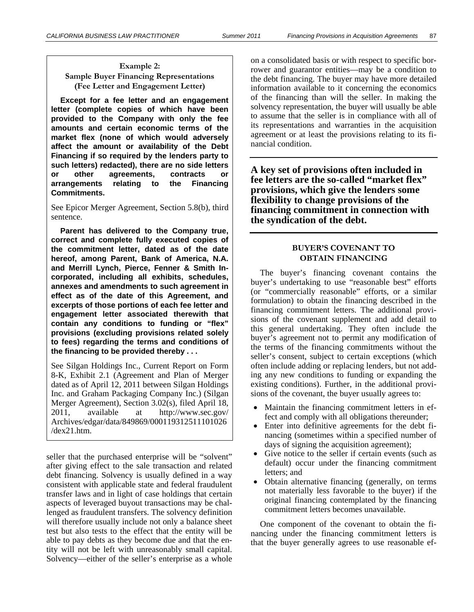## **Example 2: Sample Buyer Financing Representations (Fee Letter and Engagement Letter)**

**Except for a fee letter and an engagement letter (complete copies of which have been provided to the Company with only the fee amounts and certain economic terms of the market flex (none of which would adversely affect the amount or availability of the Debt Financing if so required by the lenders party to such letters) redacted), there are no side letters or other agreements, contracts or arrangements relating to the Financing Commitments.** 

See Epicor Merger Agreement, Section 5.8(b), third sentence.

**Parent has delivered to the Company true, correct and complete fully executed copies of the commitment letter, dated as of the date hereof, among Parent, Bank of America, N.A. and Merrill Lynch, Pierce, Fenner & Smith Incorporated, including all exhibits, schedules, annexes and amendments to such agreement in effect as of the date of this Agreement, and excerpts of those portions of each fee letter and engagement letter associated therewith that contain any conditions to funding or "flex" provisions (excluding provisions related solely to fees) regarding the terms and conditions of the financing to be provided thereby . . .** 

See Silgan Holdings Inc., Current Report on Form 8-K, Exhibit 2.1 (Agreement and Plan of Merger dated as of April 12, 2011 between Silgan Holdings Inc. and Graham Packaging Company Inc.) (Silgan Merger Agreement), Section 3.02(s), filed April 18, 2011, available at http://www.sec.gov/ Archives/edgar/data/849869/000119312511101026 /dex21.htm.

seller that the purchased enterprise will be "solvent" after giving effect to the sale transaction and related debt financing. Solvency is usually defined in a way consistent with applicable state and federal fraudulent transfer laws and in light of case holdings that certain aspects of leveraged buyout transactions may be challenged as fraudulent transfers. The solvency definition will therefore usually include not only a balance sheet test but also tests to the effect that the entity will be able to pay debts as they become due and that the entity will not be left with unreasonably small capital. Solvency—either of the seller's enterprise as a whole

on a consolidated basis or with respect to specific borrower and guarantor entities—may be a condition to the debt financing. The buyer may have more detailed information available to it concerning the economics of the financing than will the seller. In making the solvency representation, the buyer will usually be able to assume that the seller is in compliance with all of its representations and warranties in the acquisition agreement or at least the provisions relating to its financial condition.

**A key set of provisions often included in fee letters are the so-called "market flex" provisions, which give the lenders some flexibility to change provisions of the financing commitment in connection with the syndication of the debt.** 

## **BUYER'S COVENANT TO OBTAIN FINANCING**

The buyer's financing covenant contains the buyer's undertaking to use "reasonable best" efforts (or "commercially reasonable" efforts, or a similar formulation) to obtain the financing described in the financing commitment letters. The additional provisions of the covenant supplement and add detail to this general undertaking. They often include the buyer's agreement not to permit any modification of the terms of the financing commitments without the seller's consent, subject to certain exceptions (which often include adding or replacing lenders, but not adding any new conditions to funding or expanding the existing conditions). Further, in the additional provisions of the covenant, the buyer usually agrees to:

- Maintain the financing commitment letters in effect and comply with all obligations thereunder;
- Enter into definitive agreements for the debt financing (sometimes within a specified number of days of signing the acquisition agreement);
- Give notice to the seller if certain events (such as default) occur under the financing commitment letters; and
- Obtain alternative financing (generally, on terms not materially less favorable to the buyer) if the original financing contemplated by the financing commitment letters becomes unavailable.

One component of the covenant to obtain the financing under the financing commitment letters is that the buyer generally agrees to use reasonable ef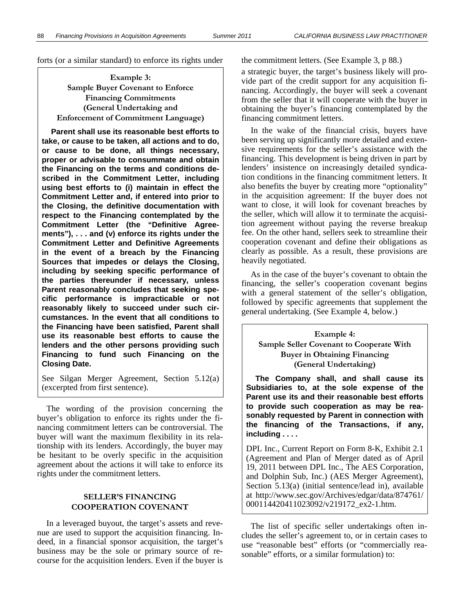forts (or a similar standard) to enforce its rights under the commitment letters. (See Example 3, p 88.)

**Example 3: Sample Buyer Covenant to Enforce Financing Commitments (General Undertaking and Enforcement of Commitment Language)** 

**Parent shall use its reasonable best efforts to take, or cause to be taken, all actions and to do, or cause to be done, all things necessary, proper or advisable to consummate and obtain the Financing on the terms and conditions described in the Commitment Letter, including using best efforts to (i) maintain in effect the Commitment Letter and, if entered into prior to the Closing, the definitive documentation with respect to the Financing contemplated by the Commitment Letter (the "Definitive Agreements"), . . . and (v) enforce its rights under the Commitment Letter and Definitive Agreements in the event of a breach by the Financing Sources that impedes or delays the Closing, including by seeking specific performance of the parties thereunder if necessary, unless Parent reasonably concludes that seeking specific performance is impracticable or not reasonably likely to succeed under such circumstances. In the event that all conditions to the Financing have been satisfied, Parent shall use its reasonable best efforts to cause the lenders and the other persons providing such Financing to fund such Financing on the Closing Date.** 

See Silgan Merger Agreement, Section 5.12(a) (excerpted from first sentence).

The wording of the provision concerning the buyer's obligation to enforce its rights under the financing commitment letters can be controversial. The buyer will want the maximum flexibility in its relationship with its lenders. Accordingly, the buyer may be hesitant to be overly specific in the acquisition agreement about the actions it will take to enforce its rights under the commitment letters.

## **SELLER'S FINANCING COOPERATION COVENANT**

In a leveraged buyout, the target's assets and revenue are used to support the acquisition financing. Indeed, in a financial sponsor acquisition, the target's business may be the sole or primary source of recourse for the acquisition lenders. Even if the buyer is

a strategic buyer, the target's business likely will provide part of the credit support for any acquisition financing. Accordingly, the buyer will seek a covenant from the seller that it will cooperate with the buyer in obtaining the buyer's financing contemplated by the financing commitment letters.

In the wake of the financial crisis, buyers have been serving up significantly more detailed and extensive requirements for the seller's assistance with the financing. This development is being driven in part by lenders' insistence on increasingly detailed syndication conditions in the financing commitment letters. It also benefits the buyer by creating more "optionality" in the acquisition agreement: If the buyer does not want to close, it will look for covenant breaches by the seller, which will allow it to terminate the acquisition agreement without paying the reverse breakup fee. On the other hand, sellers seek to streamline their cooperation covenant and define their obligations as clearly as possible. As a result, these provisions are heavily negotiated.

As in the case of the buyer's covenant to obtain the financing, the seller's cooperation covenant begins with a general statement of the seller's obligation, followed by specific agreements that supplement the general undertaking. (See Example 4, below.)

**Example 4: Sample Seller Covenant to Cooperate With Buyer in Obtaining Financing (General Undertaking)** 

**The Company shall, and shall cause its Subsidiaries to, at the sole expense of the Parent use its and their reasonable best efforts to provide such cooperation as may be reasonably requested by Parent in connection with the financing of the Transactions, if any, including . . . .** 

DPL Inc., Current Report on Form 8-K, Exhibit 2.1 (Agreement and Plan of Merger dated as of April 19, 2011 between DPL Inc., The AES Corporation, and Dolphin Sub, Inc.) (AES Merger Agreement), Section 5.13(a) (initial sentence/lead in), available at http://www.sec.gov/Archives/edgar/data/874761/ 000114420411023092/v219172\_ex2-1.htm.

The list of specific seller undertakings often includes the seller's agreement to, or in certain cases to use "reasonable best" efforts (or "commercially reasonable" efforts, or a similar formulation) to: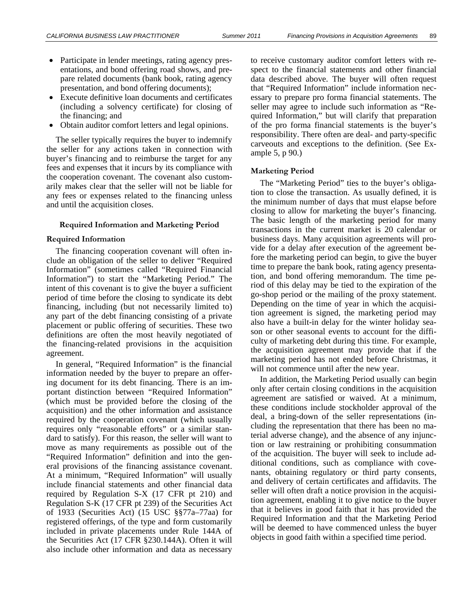- Participate in lender meetings, rating agency presentations, and bond offering road shows, and prepare related documents (bank book, rating agency presentation, and bond offering documents);
- Execute definitive loan documents and certificates (including a solvency certificate) for closing of the financing; and
- Obtain auditor comfort letters and legal opinions.

The seller typically requires the buyer to indemnify the seller for any actions taken in connection with buyer's financing and to reimburse the target for any fees and expenses that it incurs by its compliance with the cooperation covenant. The covenant also customarily makes clear that the seller will not be liable for any fees or expenses related to the financing unless and until the acquisition closes.

#### **Required Information and Marketing Period**

#### **Required Information**

The financing cooperation covenant will often include an obligation of the seller to deliver "Required Information" (sometimes called "Required Financial Information") to start the "Marketing Period." The intent of this covenant is to give the buyer a sufficient period of time before the closing to syndicate its debt financing, including (but not necessarily limited to) any part of the debt financing consisting of a private placement or public offering of securities. These two definitions are often the most heavily negotiated of the financing-related provisions in the acquisition agreement.

In general, "Required Information" is the financial information needed by the buyer to prepare an offering document for its debt financing. There is an important distinction between "Required Information" (which must be provided before the closing of the acquisition) and the other information and assistance required by the cooperation covenant (which usually requires only "reasonable efforts" or a similar standard to satisfy). For this reason, the seller will want to move as many requirements as possible out of the "Required Information" definition and into the general provisions of the financing assistance covenant. At a minimum, "Required Information" will usually include financial statements and other financial data required by Regulation S-X (17 CFR pt 210) and Regulation S-K (17 CFR pt 239) of the Securities Act of 1933 (Securities Act) (15 USC §§77a–77aa) for registered offerings, of the type and form customarily included in private placements under Rule 144A of the Securities Act (17 CFR §230.144A). Often it will also include other information and data as necessary

to receive customary auditor comfort letters with respect to the financial statements and other financial data described above. The buyer will often request that "Required Information" include information necessary to prepare pro forma financial statements. The seller may agree to include such information as "Required Information," but will clarify that preparation of the pro forma financial statements is the buyer's responsibility. There often are deal- and party-specific carveouts and exceptions to the definition. (See Example 5, p 90.)

#### **Marketing Period**

The "Marketing Period" ties to the buyer's obligation to close the transaction. As usually defined, it is the minimum number of days that must elapse before closing to allow for marketing the buyer's financing. The basic length of the marketing period for many transactions in the current market is 20 calendar or business days. Many acquisition agreements will provide for a delay after execution of the agreement before the marketing period can begin, to give the buyer time to prepare the bank book, rating agency presentation, and bond offering memorandum. The time period of this delay may be tied to the expiration of the go-shop period or the mailing of the proxy statement. Depending on the time of year in which the acquisition agreement is signed, the marketing period may also have a built-in delay for the winter holiday season or other seasonal events to account for the difficulty of marketing debt during this time. For example, the acquisition agreement may provide that if the marketing period has not ended before Christmas, it will not commence until after the new year.

In addition, the Marketing Period usually can begin only after certain closing conditions in the acquisition agreement are satisfied or waived. At a minimum, these conditions include stockholder approval of the deal, a bring-down of the seller representations (including the representation that there has been no material adverse change), and the absence of any injunction or law restraining or prohibiting consummation of the acquisition. The buyer will seek to include additional conditions, such as compliance with covenants, obtaining regulatory or third party consents, and delivery of certain certificates and affidavits. The seller will often draft a notice provision in the acquisition agreement, enabling it to give notice to the buyer that it believes in good faith that it has provided the Required Information and that the Marketing Period will be deemed to have commenced unless the buyer objects in good faith within a specified time period.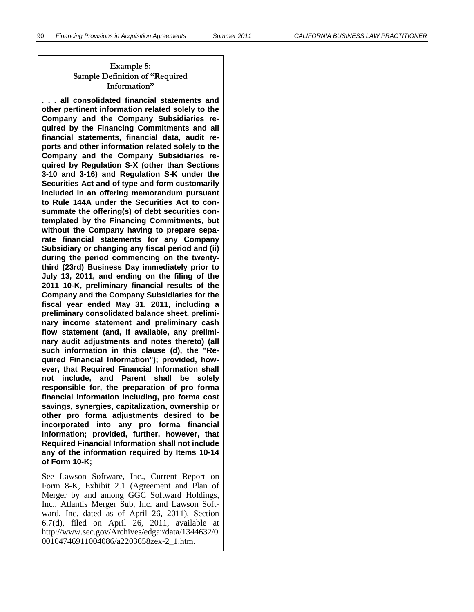## **Example 5: Sample Definition of "Required Information"**

**. . . all consolidated financial statements and other pertinent information related solely to the Company and the Company Subsidiaries required by the Financing Commitments and all financial statements, financial data, audit reports and other information related solely to the Company and the Company Subsidiaries required by Regulation S-X (other than Sections 3-10 and 3-16) and Regulation S-K under the Securities Act and of type and form customarily included in an offering memorandum pursuant to Rule 144A under the Securities Act to consummate the offering(s) of debt securities contemplated by the Financing Commitments, but without the Company having to prepare separate financial statements for any Company Subsidiary or changing any fiscal period and (ii) during the period commencing on the twentythird (23rd) Business Day immediately prior to July 13, 2011, and ending on the filing of the 2011 10-K, preliminary financial results of the Company and the Company Subsidiaries for the fiscal year ended May 31, 2011, including a preliminary consolidated balance sheet, preliminary income statement and preliminary cash flow statement (and, if available, any preliminary audit adjustments and notes thereto) (all such information in this clause (d), the "Required Financial Information"); provided, however, that Required Financial Information shall not include, and Parent shall be solely responsible for, the preparation of pro forma financial information including, pro forma cost savings, synergies, capitalization, ownership or other pro forma adjustments desired to be incorporated into any pro forma financial information; provided, further, however, that Required Financial Information shall not include any of the information required by Items 10-14 of Form 10-K;** 

See Lawson Software, Inc., Current Report on Form 8-K, Exhibit 2.1 (Agreement and Plan of Merger by and among GGC Softward Holdings, Inc., Atlantis Merger Sub, Inc. and Lawson Softward, Inc. dated as of April 26, 2011), Section 6.7(d), filed on April 26, 2011, available at http://www.sec.gov/Archives/edgar/data/1344632/0 00104746911004086/a2203658zex-2\_1.htm.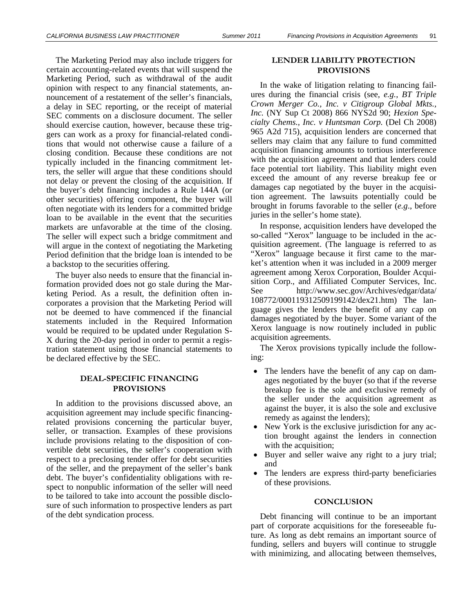The Marketing Period may also include triggers for certain accounting-related events that will suspend the Marketing Period, such as withdrawal of the audit opinion with respect to any financial statements, announcement of a restatement of the seller's financials, a delay in SEC reporting, or the receipt of material SEC comments on a disclosure document. The seller should exercise caution, however, because these triggers can work as a proxy for financial-related conditions that would not otherwise cause a failure of a closing condition. Because these conditions are not typically included in the financing commitment letters, the seller will argue that these conditions should not delay or prevent the closing of the acquisition. If the buyer's debt financing includes a Rule 144A (or other securities) offering component, the buyer will often negotiate with its lenders for a committed bridge loan to be available in the event that the securities markets are unfavorable at the time of the closing. The seller will expect such a bridge commitment and will argue in the context of negotiating the Marketing Period definition that the bridge loan is intended to be a backstop to the securities offering.

The buyer also needs to ensure that the financial information provided does not go stale during the Marketing Period. As a result, the definition often incorporates a provision that the Marketing Period will not be deemed to have commenced if the financial statements included in the Required Information would be required to be updated under Regulation S-X during the 20-day period in order to permit a registration statement using those financial statements to be declared effective by the SEC.

#### **DEAL-SPECIFIC FINANCING PROVISIONS**

In addition to the provisions discussed above, an acquisition agreement may include specific financingrelated provisions concerning the particular buyer, seller, or transaction. Examples of these provisions include provisions relating to the disposition of convertible debt securities, the seller's cooperation with respect to a preclosing tender offer for debt securities of the seller, and the prepayment of the seller's bank debt. The buyer's confidentiality obligations with respect to nonpublic information of the seller will need to be tailored to take into account the possible disclosure of such information to prospective lenders as part of the debt syndication process.

### **LENDER LIABILITY PROTECTION PROVISIONS**

In the wake of litigation relating to financing failures during the financial crisis (see, *e.g.*, *BT Triple Crown Merger Co., Inc. v Citigroup Global Mkts., Inc.* (NY Sup Ct 2008) 866 NYS2d 90; *Hexion Specialty Chems., Inc. v Huntsman Corp.* (Del Ch 2008) 965 A2d 715), acquisition lenders are concerned that sellers may claim that any failure to fund committed acquisition financing amounts to tortious interference with the acquisition agreement and that lenders could face potential tort liability. This liability might even exceed the amount of any reverse breakup fee or damages cap negotiated by the buyer in the acquisition agreement. The lawsuits potentially could be brought in forums favorable to the seller (*e.g*., before juries in the seller's home state).

In response, acquisition lenders have developed the so-called "Xerox" language to be included in the acquisition agreement. (The language is referred to as "Xerox" language because it first came to the market's attention when it was included in a 2009 merger agreement among Xerox Corporation, Boulder Acquisition Corp., and Affiliated Computer Services, Inc. See http://www.sec.gov/Archives/edgar/data/ 108772/000119312509199142/dex21.htm) The language gives the lenders the benefit of any cap on damages negotiated by the buyer. Some variant of the Xerox language is now routinely included in public acquisition agreements.

The Xerox provisions typically include the following:

- The lenders have the benefit of any cap on damages negotiated by the buyer (so that if the reverse breakup fee is the sole and exclusive remedy of the seller under the acquisition agreement as against the buyer, it is also the sole and exclusive remedy as against the lenders);
- New York is the exclusive jurisdiction for any action brought against the lenders in connection with the acquisition;
- Buyer and seller waive any right to a jury trial; and
- The lenders are express third-party beneficiaries of these provisions.

#### **CONCLUSION**

Debt financing will continue to be an important part of corporate acquisitions for the foreseeable future. As long as debt remains an important source of funding, sellers and buyers will continue to struggle with minimizing, and allocating between themselves,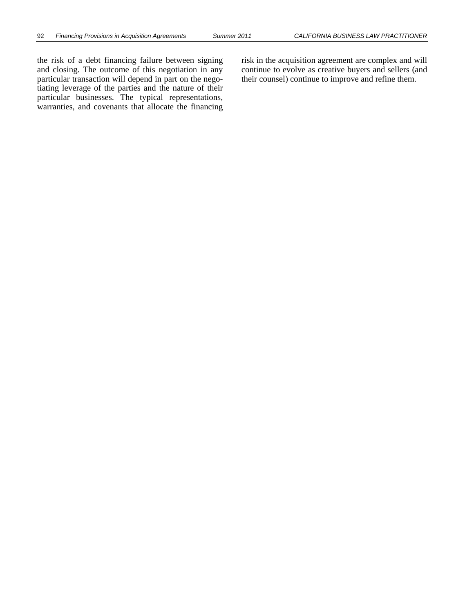the risk of a debt financing failure between signing and closing. The outcome of this negotiation in any particular transaction will depend in part on the negotiating leverage of the parties and the nature of their particular businesses. The typical representations, warranties, and covenants that allocate the financing risk in the acquisition agreement are complex and will continue to evolve as creative buyers and sellers (and their counsel) continue to improve and refine them.